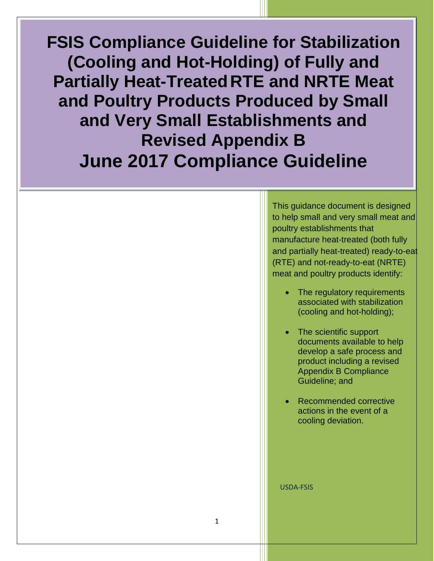**FSIS Compliance Guideline for Stabilization (Cooling and Hot-Holding) of Fully and Partially Heat-TreatedRTE and NRTE Meat and Poultry Products Produced by Small**  and Very Small Establishments and **Revised Appendix B June 2017 Compliance Guideline** 

> This guidance document is designed to help small and very small meat and poultry establishments that manufacture heat-treated (both fully and partially heat-treated) ready-to-eat (RTE) and not-ready-to-eat (NRTE) meat and poultry products identify:

- <span id="page-0-0"></span>The regulatory requirements associated with stabilization (cooling and hot-holding);
- The scientific support documents available to help develop a safe process and product including a revised Appendix B Compliance Guideline; and
- Recommended corrective actions in the event of a cooling deviation.

USDA-FSIS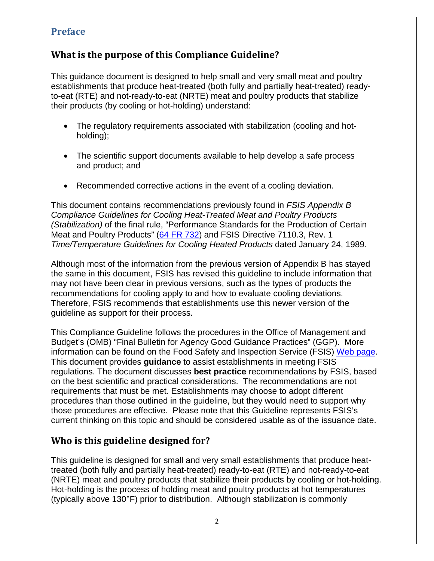### **Preface**

### **What is the purpose of this Compliance Guideline?**

This guidance document is designed to help small and very small meat and poultry establishments that produce heat-treated (both fully and partially heat-treated) readyto-eat (RTE) and not-ready-to-eat (NRTE) meat and poultry products that stabilize their products (by cooling or hot-holding) understand:

- The regulatory requirements associated with stabilization (cooling and hotholding);
- The scientific support documents available to help develop a safe process and product; and
- Recommended corrective actions in the event of a cooling deviation.

This document contains recommendations previously found in *FSIS Appendix B Compliance Guidelines for Cooling Heat-Treated Meat and Poultry Products (Stabilization)* of the final rule, "Performance Standards for the Production of Certain Meat and Poultry Products" [\(64 FR 732\)](https://www.fsis.usda.gov/wps/wcm/connect/70bb9407-0591-4d0a-8952-ccf172af2e87/95-033F.pdf?MOD=AJPERES) and FSIS Directive 7110.3, Rev. 1 *Time/Temperature Guidelines for Cooling Heated Products* dated January 24, 1989*.*

Although most of the information from the previous version of Appendix B has stayed the same in this document, FSIS has revised this guideline to include information that may not have been clear in previous versions, such as the types of products the recommendations for cooling apply to and how to evaluate cooling deviations. Therefore, FSIS recommends that establishments use this newer version of the guideline as support for their process.

This Compliance Guideline follows the procedures in the Office of Management and Budget's (OMB) "Final Bulletin for Agency Good Guidance Practices" (GGP). More information can be found on the Food Safety and Inspection Service (FSIS) [Web page.](https://www.fsis.usda.gov/wps/portal/footer/policies-and-links/significant-guidance-documents) This document provides **guidance** to assist establishments in meeting FSIS regulations. The document discusses **best practice** recommendations by FSIS, based on the best scientific and practical considerations. The recommendations are not requirements that must be met. Establishments may choose to adopt different procedures than those outlined in the guideline, but they would need to support why those procedures are effective. Please note that this Guideline represents FSIS's current thinking on this topic and should be considered usable as of the issuance date.

### **Who is this guideline designed for?**

This guideline is designed for small and very small establishments that produce heattreated (both fully and partially heat-treated) ready-to-eat (RTE) and not-ready-to-eat (NRTE) meat and poultry products that stabilize their products by cooling or hot-holding. Hot-holding is the process of holding meat and poultry products at hot temperatures (typically above 130°F) prior to distribution. Although stabilization is commonly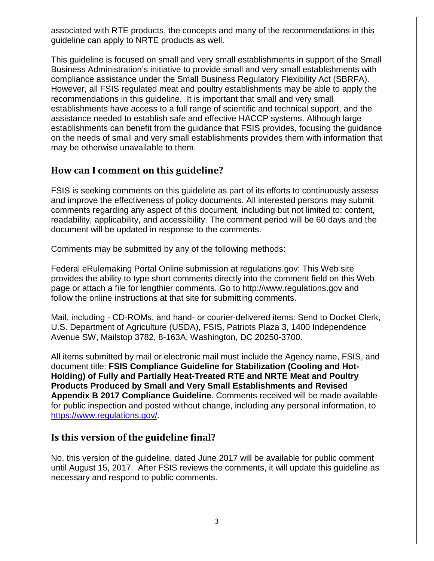associated with RTE products, the concepts and many of the recommendations in this guideline can apply to NRTE products as well.

This guideline is focused on small and very small establishments in support of the Small Business Administration's initiative to provide small and very small establishments with compliance assistance under the Small Business Regulatory Flexibility Act (SBRFA). However, all FSIS regulated meat and poultry establishments may be able to apply the recommendations in this guideline. It is important that small and very small establishments have access to a full range of scientific and technical support, and the assistance needed to establish safe and effective HACCP systems. Although large establishments can benefit from the guidance that FSIS provides, focusing the guidance on the needs of small and very small establishments provides them with information that may be otherwise unavailable to them.

### **How can I comment on this guideline?**

FSIS is seeking comments on this guideline as part of its efforts to continuously assess and improve the effectiveness of policy documents. All interested persons may submit comments regarding any aspect of this document, including but not limited to: content, readability, applicability, and accessibility. The comment period will be 60 days and the document will be updated in response to the comments.

Comments may be submitted by any of the following methods:

Federal eRulemaking Portal Online submission at regulations.gov: This Web site provides the ability to type short comments directly into the comment field on this Web page or attach a file for lengthier comments. Go to http://www.regulations.gov and follow the online instructions at that site for submitting comments.

Mail, including - CD-ROMs, and hand- or courier-delivered items: Send to Docket Clerk, U.S. Department of Agriculture (USDA), FSIS, Patriots Plaza 3, 1400 Independence Avenue SW, Mailstop 3782, 8-163A, Washington, DC 20250-3700.

All items submitted by mail or electronic mail must include the Agency name, FSIS, and document title: **FSIS Compliance Guideline for Stabilization (Cooling and Hot-Holding) of Fully and Partially Heat-Treated RTE and NRTE Meat and Poultry Products Produced by Small and Very Small Establishments and Revised Appendix B 2017 Compliance Guideline**. Comments received will be made available for public inspection and posted without change, including any personal information, to [https://www.regulations.gov/.](https://www.regulations.gov/)

### **Is this version of the guideline final?**

No, this version of the guideline, dated June 2017 will be available for public comment until August 15, 2017. After FSIS reviews the comments, it will update this guideline as necessary and respond to public comments.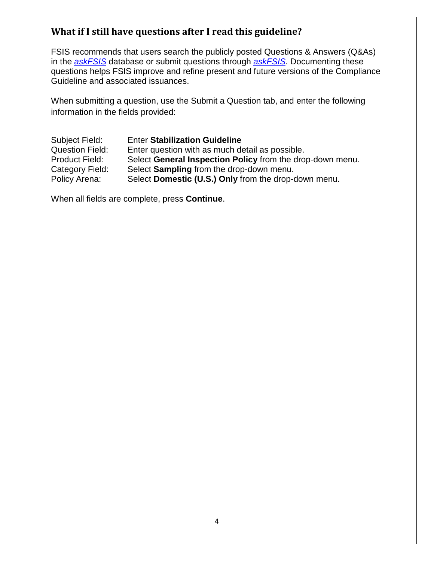### **What if I still have questions after I read this guideline?**

FSIS recommends that users search the publicly posted Questions & Answers (Q&As) in the *[askFSIS](http://askfsis.custhelp.com/)* database or submit questions through *[askFSIS](http://askfsis.custhelp.com/)*. Documenting these questions helps FSIS improve and refine present and future versions of the Compliance Guideline and associated issuances.

When submitting a question, use the Submit a Question tab, and enter the following information in the fields provided:

Subject Field: Enter **Stabilization Guideline** Question Field: Enter question with as much detail as possible. Product Field: Select **General Inspection Policy** from the drop-down menu.<br>Category Field: Select **Sampling** from the drop-down menu. Select **Sampling** from the drop-down menu. Policy Arena: Select **Domestic (U.S.) Only** from the drop-down menu.

When all fields are complete, press **Continue**.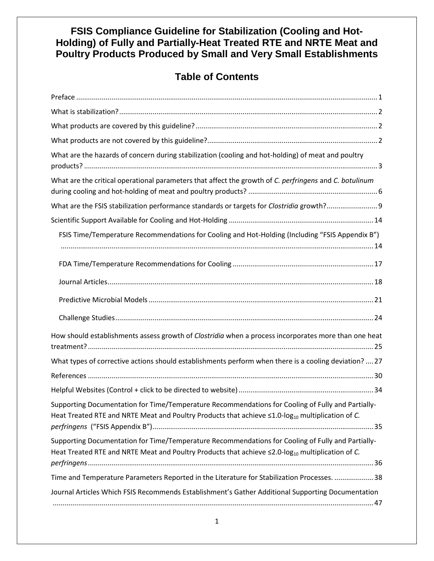### **FSIS Compliance Guideline for Stabilization (Cooling and Hot-Holding) of Fully and Partially-Heat Treated RTE and NRTE Meat and Poultry Products Produced by Small and Very Small Establishments**

# **Table of Contents**

| What are the hazards of concern during stabilization (cooling and hot-holding) of meat and poultry                                                                                                                      |
|-------------------------------------------------------------------------------------------------------------------------------------------------------------------------------------------------------------------------|
| What are the critical operational parameters that affect the growth of C. perfringens and C. botulinum                                                                                                                  |
|                                                                                                                                                                                                                         |
|                                                                                                                                                                                                                         |
| FSIS Time/Temperature Recommendations for Cooling and Hot-Holding (Including "FSIS Appendix B")                                                                                                                         |
|                                                                                                                                                                                                                         |
|                                                                                                                                                                                                                         |
|                                                                                                                                                                                                                         |
|                                                                                                                                                                                                                         |
| How should establishments assess growth of Clostridia when a process incorporates more than one heat                                                                                                                    |
| What types of corrective actions should establishments perform when there is a cooling deviation?  27                                                                                                                   |
|                                                                                                                                                                                                                         |
|                                                                                                                                                                                                                         |
| Supporting Documentation for Time/Temperature Recommendations for Cooling of Fully and Partially-<br>Heat Treated RTE and NRTE Meat and Poultry Products that achieve $\leq$ 1.0-log <sub>10</sub> multiplication of C. |
| Supporting Documentation for Time/Temperature Recommendations for Cooling of Fully and Partially-<br>Heat Treated RTE and NRTE Meat and Poultry Products that achieve $\leq$ 2.0-log <sub>10</sub> multiplication of C. |
| Time and Temperature Parameters Reported in the Literature for Stabilization Processes.  38                                                                                                                             |
| Journal Articles Which FSIS Recommends Establishment's Gather Additional Supporting Documentation                                                                                                                       |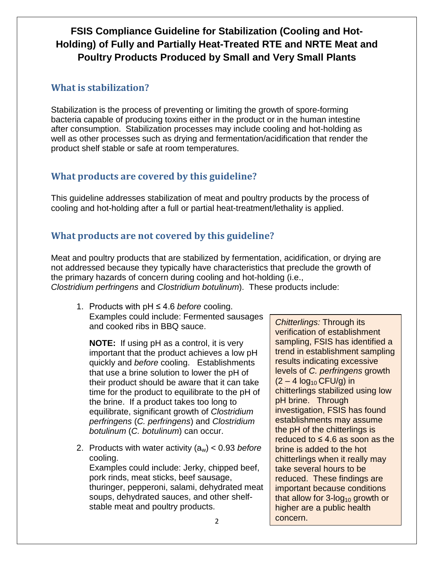# **FSIS Compliance Guideline for Stabilization (Cooling and Hot-Holding) of Fully and Partially Heat-Treated RTE and NRTE Meat and Poultry Products Produced by Small and Very Small Plants**

### <span id="page-5-0"></span>**What is stabilization?**

Stabilization is the process of preventing or limiting the growth of spore-forming bacteria capable of producing toxins either in the product or in the human intestine after consumption. Stabilization processes may include cooling and hot-holding as well as other processes such as drying and fermentation/acidification that render the product shelf stable or safe at room temperatures.

# <span id="page-5-1"></span>**What products are covered by this guideline?**

This guideline addresses stabilization of meat and poultry products by the process of cooling and hot-holding after a full or partial heat-treatment/lethality is applied.

# <span id="page-5-2"></span>**What products are not covered by this guideline?**

Meat and poultry products that are stabilized by fermentation, acidification, or drying are not addressed because they typically have characteristics that preclude the growth of the primary hazards of concern during cooling and hot-holding (i.e., *Clostridium perfringens* and *Clostridium botulinum*). These products include:

1. Products with pH ≤ 4.6 *before* cooling. Examples could include: Fermented sausages and cooked ribs in BBQ sauce.

**NOTE:** If using pH as a control, it is very important that the product achieves a low pH quickly and *before* cooling. Establishments that use a brine solution to lower the pH of their product should be aware that it can take time for the product to equilibrate to the pH of the brine. If a product takes too long to equilibrate, significant growth of *Clostridium perfringens* (*C. perfringens*) and *Clostridium botulinum* (*C. botulinum*) can occur.

2. Products with water activity (aw) < 0.93 *before* cooling.

Examples could include: Jerky, chipped beef, pork rinds, meat sticks, beef sausage, thuringer, pepperoni, salami, dehydrated meat soups, dehydrated sauces, and other shelfstable meat and poultry products.

*Chitterlings:* Through its verification of establishment sampling, FSIS has identified a trend in establishment sampling results indicating excessive levels of *C. perfringens* growth  $(2 - 4 \log_{10} CFU/g)$  in chitterlings stabilized using low pH brine. Through investigation, FSIS has found establishments may assume the pH of the chitterlings is reduced to  $\leq 4.6$  as soon as the brine is added to the hot chitterlings when it really may take several hours to be reduced. These findings are important because conditions that allow for  $3$ -log<sub>10</sub> growth or higher are a public health concern.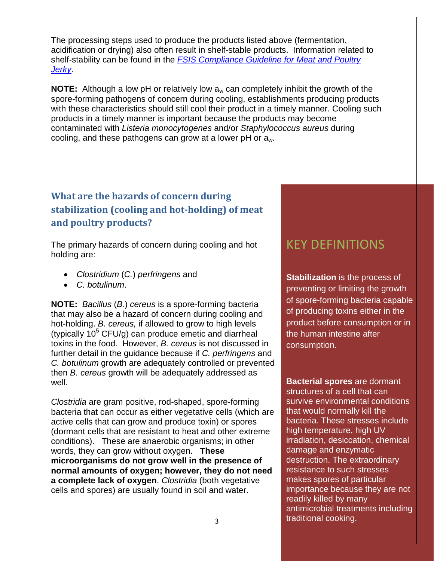The processing steps used to produce the products listed above (fermentation, acidification or drying) also often result in shelf-stable products. Information related to shelf-stability can be found in the *[FSIS Compliance Guideline for Meat and Poultry](http://www.fsis.usda.gov/wps/wcm/connect/5fd4a01d-a381-4134-8b91-99617e56a90a/Compliance-Guideline-Jerky-2014.pdf?MOD=AJPERES)  [Jerky](http://www.fsis.usda.gov/wps/wcm/connect/5fd4a01d-a381-4134-8b91-99617e56a90a/Compliance-Guideline-Jerky-2014.pdf?MOD=AJPERES)*.

**NOTE:** Although a low pH or relatively low  $a_w$  can completely inhibit the growth of the spore-forming pathogens of concern during cooling, establishments producing products with these characteristics should still cool their product in a timely manner. Cooling such products in a timely manner is important because the products may become contaminated with *Listeria monocytogenes* and/or *Staphylococcus aureus* during cooling, and these pathogens can grow at a lower pH or aw.

# <span id="page-6-0"></span>**What are the hazards of concern during stabilization (cooling and hot-holding) of meat and poultry products?**

The primary hazards of concern during cooling and hot holding are:

- *Clostridium* (*C.*) *perfringens* and
- *C. botulinum*.

**NOTE:** *Bacillus* (*B.*) *cereus* is a spore-forming bacteria that may also be a hazard of concern during cooling and hot-holding. *B. cereus,* if allowed to grow to high levels (typically  $10^5$  CFU/g) can produce emetic and diarrheal toxins in the food. However, *B. cereus* is not discussed in further detail in the guidance because if *C. perfringens* and *C. botulinum* growth are adequately controlled or prevented then *B. cereus* growth will be adequately addressed as well.

*Clostridia* are gram positive, rod-shaped, spore-forming bacteria that can occur as either vegetative cells (which are active cells that can grow and produce toxin) or spores (dormant cells that are resistant to heat and other extreme conditions). These are anaerobic organisms; in other words, they can grow without oxygen. **These microorganisms do not grow well in the presence of normal amounts of oxygen; however, they do not need a complete lack of oxygen**. *Clostridia* (both vegetative cells and spores) are usually found in soil and water.

# KEY DEFINITIONS

**Stabilization** is the process of preventing or limiting the growth of spore-forming bacteria capable of producing toxins either in the product before consumption or in the human intestine after consumption.

**Bacterial spores** are dormant structures of a cell that can survive environmental conditions that would normally kill the bacteria. These stresses include high temperature, high UV irradiation, desiccation, chemical damage and enzymatic destruction. The extraordinary resistance to such stresses makes spores of particular importance because they are not readily killed by many antimicrobial treatments including traditional cooking.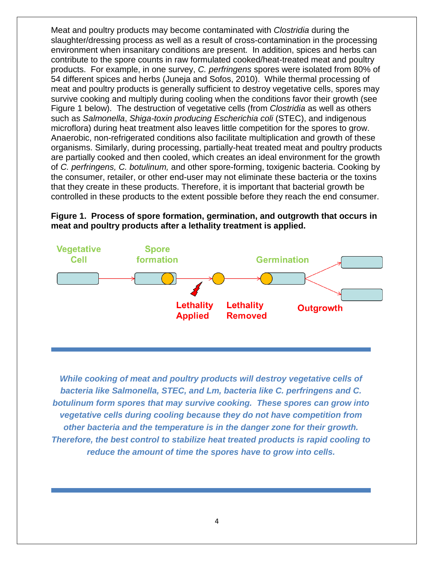Meat and poultry products may become contaminated with *Clostridia* during the slaughter/dressing process as well as a result of cross-contamination in the processing environment when insanitary conditions are present. In addition, spices and herbs can contribute to the spore counts in raw formulated cooked/heat-treated meat and poultry products. For example, in one survey, *C. perfringens* spores were isolated from 80% of 54 different spices and herbs (Juneja and Sofos, 2010). While thermal processing of meat and poultry products is generally sufficient to destroy vegetative cells, spores may survive cooking and multiply during cooling when the conditions favor their growth (see Figure 1 below). The destruction of vegetative cells (from *Clostridia* as well as others such as *Salmonella*, *Shiga-toxin producing Escherichia coli* (STEC), and indigenous microflora) during heat treatment also leaves little competition for the spores to grow. Anaerobic, non-refrigerated conditions also facilitate multiplication and growth of these organisms. Similarly, during processing, partially-heat treated meat and poultry products are partially cooked and then cooled, which creates an ideal environment for the growth of *C. perfringens, C. botulinum,* and other spore-forming, toxigenic bacteria. Cooking by the consumer, retailer, or other end-user may not eliminate these bacteria or the toxins that they create in these products. Therefore, it is important that bacterial growth be controlled in these products to the extent possible before they reach the end consumer.





*While cooking of meat and poultry products will destroy vegetative cells of bacteria like Salmonella, STEC, and Lm, bacteria like C. perfringens and C. botulinum form spores that may survive cooking. These spores can grow into vegetative cells during cooling because they do not have competition from other bacteria and the temperature is in the danger zone for their growth. Therefore, the best control to stabilize heat treated products is rapid cooling to reduce the amount of time the spores have to grow into cells.*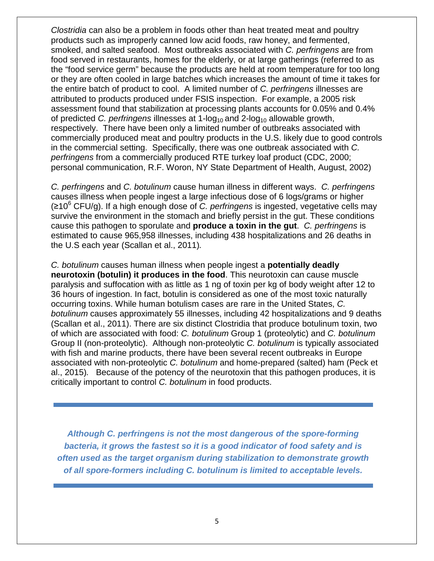*Clostridia* can also be a problem in foods other than heat treated meat and poultry products such as improperly canned low acid foods, raw honey, and fermented, smoked, and salted seafood. Most outbreaks associated with *C. perfringens* are from food served in restaurants, homes for the elderly, or at large gatherings (referred to as the "food service germ" because the products are held at room temperature for too long or they are often cooled in large batches which increases the amount of time it takes for the entire batch of product to cool. A limited number of *C. perfringens* illnesses are attributed to products produced under FSIS inspection. For example, a 2005 risk assessment found that stabilization at processing plants accounts for 0.05% and 0.4% of predicted *C. perfringens* illnesses at 1-log<sub>10</sub> and 2-log<sub>10</sub> allowable growth, respectively. There have been only a limited number of outbreaks associated with commercially produced meat and poultry products in the U.S. likely due to good controls in the commercial setting. Specifically, there was one outbreak associated with *C. perfringens* from a commercially produced RTE turkey loaf product (CDC, 2000; personal communication, R.F. Woron, NY State Department of Health, August, 2002)

*C. perfringens* and *C. botulinum* cause human illness in different ways. *C. perfringens* causes illness when people ingest a large infectious dose of 6 logs/grams or higher (≥10<sup>6</sup> CFU/g). If a high enough dose of *C. perfringens* is ingested, vegetative cells may survive the environment in the stomach and briefly persist in the gut. These conditions cause this pathogen to sporulate and **produce a toxin in the gut**. *C. perfringens* is estimated to cause 965,958 illnesses, including 438 hospitalizations and 26 deaths in the U.S each year (Scallan et al., 2011)*.*

*C. botulinum* causes human illness when people ingest a **potentially deadly neurotoxin (botulin) it produces in the food**. This neurotoxin can cause muscle paralysis and suffocation with as little as 1 ng of toxin per kg of body weight after 12 to 36 hours of ingestion. In fact, botulin is considered as one of the most toxic naturally occurring toxins. While human botulism cases are rare in the United States, *C. botulinum* causes approximately 55 illnesses, including 42 hospitalizations and 9 deaths (Scallan et al., 2011). There are six distinct Clostridia that produce botulinum toxin, two of which are associated with food: *C. botulinum* Group 1 (proteolytic) and *C. botulinum* Group II (non-proteolytic). Although non-proteolytic *C. botulinum* is typically associated with fish and marine products, there have been several recent outbreaks in Europe associated with non-proteolytic *C. botulinum* and home-prepared (salted) ham (Peck et al., 2015)*.* Because of the potency of the neurotoxin that this pathogen produces, it is critically important to control *C. botulinum* in food products.

*Although C. perfringens is not the most dangerous of the spore-forming bacteria, it grows the fastest so it is a good indicator of food safety and is often used as the target organism during stabilization to demonstrate growth of all spore-formers including C. botulinum is limited to acceptable levels.*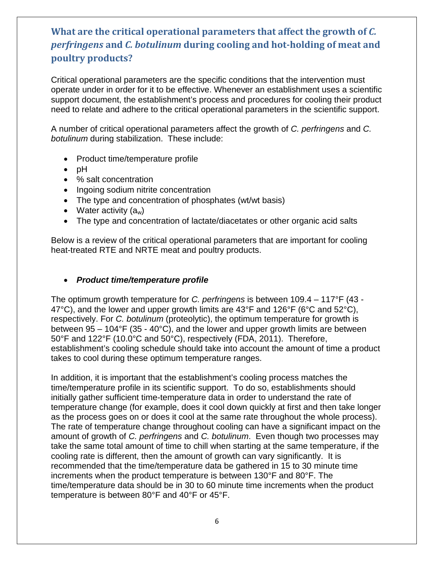# <span id="page-9-0"></span>**What are the critical operational parameters that affect the growth of** *C. perfringens* **and** *C. botulinum* **during cooling and hot-holding of meat and poultry products?**

Critical operational parameters are the specific conditions that the intervention must operate under in order for it to be effective. Whenever an establishment uses a scientific support document, the establishment's process and procedures for cooling their product need to relate and adhere to the critical operational parameters in the scientific support.

A number of critical operational parameters affect the growth of *C. perfringens* and *C. botulinum* during stabilization. These include:

- Product time/temperature profile
- pH
- % salt concentration
- Ingoing sodium nitrite concentration
- The type and concentration of phosphates (wt/wt basis)
- Water activity  $(a_w)$
- The type and concentration of lactate/diacetates or other organic acid salts

Below is a review of the critical operational parameters that are important for cooling heat-treated RTE and NRTE meat and poultry products.

#### • *Product time/temperature profile*

The optimum growth temperature for *C. perfringens* is between 109.4 – 117°F (43 - 47°C), and the lower and upper growth limits are 43°F and 126°F (6°C and 52°C), respectively. For *C. botulinum* (proteolytic), the optimum temperature for growth is between 95 – 104°F (35 - 40°C), and the lower and upper growth limits are between 50°F and 122°F (10.0°C and 50°C), respectively (FDA, 2011). Therefore, establishment's cooling schedule should take into account the amount of time a product takes to cool during these optimum temperature ranges.

In addition, it is important that the establishment's cooling process matches the time/temperature profile in its scientific support. To do so, establishments should initially gather sufficient time-temperature data in order to understand the rate of temperature change (for example, does it cool down quickly at first and then take longer as the process goes on or does it cool at the same rate throughout the whole process). The rate of temperature change throughout cooling can have a significant impact on the amount of growth of *C. perfringens* and *C. botulinum*. Even though two processes may take the same total amount of time to chill when starting at the same temperature, if the cooling rate is different, then the amount of growth can vary significantly. It is recommended that the time/temperature data be gathered in 15 to 30 minute time increments when the product temperature is between 130°F and 80°F. The time/temperature data should be in 30 to 60 minute time increments when the product temperature is between 80°F and 40°F or 45°F.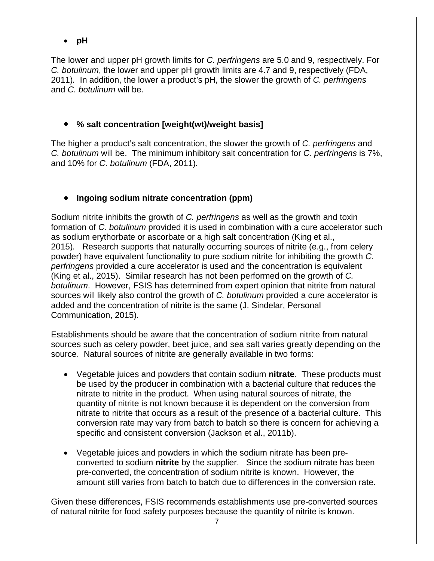• **pH**

The lower and upper pH growth limits for *C. perfringens* are 5.0 and 9, respectively. For *C. botulinum*, the lower and upper pH growth limits are 4.7 and 9, respectively (FDA, 2011)*.* In addition, the lower a product's pH, the slower the growth of *C. perfringens* and *C. botulinum* will be.

### • **% salt concentration [weight(wt)/weight basis]**

The higher a product's salt concentration, the slower the growth of *C. perfringens* and *C. botulinum* will be. The minimum inhibitory salt concentration for *C. perfringens* is 7%, and 10% for *C. botulinum* (FDA, 2011)*.*

### • **Ingoing sodium nitrate concentration (ppm)**

Sodium nitrite inhibits the growth of *C. perfringens* as well as the growth and toxin formation of *C. botulinum* provided it is used in combination with a cure accelerator such as sodium erythorbate or ascorbate or a high salt concentration (King et al., 2015)*.* Research supports that naturally occurring sources of nitrite (e.g., from celery powder) have equivalent functionality to pure sodium nitrite for inhibiting the growth *C. perfringens* provided a cure accelerator is used and the concentration is equivalent (King et al., 2015). Similar research has not been performed on the growth of *C. botulinum*. However, FSIS has determined from expert opinion that nitrite from natural sources will likely also control the growth of *C. botulinum* provided a cure accelerator is added and the concentration of nitrite is the same (J. Sindelar, Personal Communication, 2015).

Establishments should be aware that the concentration of sodium nitrite from natural sources such as celery powder, beet juice, and sea salt varies greatly depending on the source. Natural sources of nitrite are generally available in two forms:

- Vegetable juices and powders that contain sodium **nitrate**. These products must be used by the producer in combination with a bacterial culture that reduces the nitrate to nitrite in the product. When using natural sources of nitrate, the quantity of nitrite is not known because it is dependent on the conversion from nitrate to nitrite that occurs as a result of the presence of a bacterial culture. This conversion rate may vary from batch to batch so there is concern for achieving a specific and consistent conversion (Jackson et al., 2011b).
- Vegetable juices and powders in which the sodium nitrate has been preconverted to sodium **nitrite** by the supplier. Since the sodium nitrate has been pre-converted, the concentration of sodium nitrite is known. However, the amount still varies from batch to batch due to differences in the conversion rate.

Given these differences, FSIS recommends establishments use pre-converted sources of natural nitrite for food safety purposes because the quantity of nitrite is known.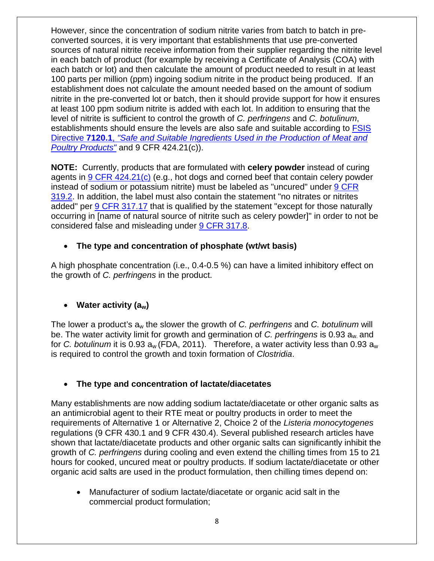However, since the concentration of sodium nitrite varies from batch to batch in preconverted sources, it is very important that establishments that use pre-converted sources of natural nitrite receive information from their supplier regarding the nitrite level in each batch of product (for example by receiving a Certificate of Analysis (COA) with each batch or lot) and then calculate the amount of product needed to result in at least 100 parts per million (ppm) ingoing sodium nitrite in the product being produced. If an establishment does not calculate the amount needed based on the amount of sodium nitrite in the pre-converted lot or batch, then it should provide support for how it ensures at least 100 ppm sodium nitrite is added with each lot. In addition to ensuring that the level of nitrite is sufficient to control the growth of *C. perfringens* and *C. botulinum*, establishments should ensure the levels are also safe and suitable according to [FSIS](http://www.fsis.usda.gov/wps/wcm/connect/bab10e09-aefa-483b-8be8-809a1f051d4c/7120.1.pdf?MOD=AJPERES)  Directive **7120.1**, *["Safe and Suitable Ingredients Used in the Production of Meat and](http://www.fsis.usda.gov/wps/wcm/connect/bab10e09-aefa-483b-8be8-809a1f051d4c/7120.1.pdf?MOD=AJPERES)  [Poultry Products"](http://www.fsis.usda.gov/wps/wcm/connect/bab10e09-aefa-483b-8be8-809a1f051d4c/7120.1.pdf?MOD=AJPERES)* and 9 CFR 424.21(c)).

**NOTE:** Currently, products that are formulated with **celery powder** instead of curing agents in [9 CFR 424.21\(c\)](https://www.gpo.gov/fdsys/pkg/CFR-2017-title9-vol2/xml/CFR-2017-title9-vol2-sec424-21.xml) (e.g., hot dogs and corned beef that contain celery powder instead of sodium or potassium nitrite) must be labeled as "uncured" under 9 CFR [319.2.](https://www.gpo.gov/fdsys/pkg/CFR-2017-title9-vol2/xml/CFR-2017-title9-vol2-sec319-2.xml) In addition, the label must also contain the statement "no nitrates or nitrites added" per [9 CFR 317.17](https://www.gpo.gov/fdsys/pkg/CFR-2017-title9-vol2/xml/CFR-2017-title9-vol2-sec317-17.xml) that is qualified by the statement "except for those naturally occurring in [name of natural source of nitrite such as celery powder]" in order to not be considered false and misleading under [9 CFR 317.8.](https://www.gpo.gov/fdsys/pkg/CFR-2017-title9-vol2/xml/CFR-2017-title9-vol2-sec317-8.xml)

### • **The type and concentration of phosphate (wt/wt basis)**

A high phosphate concentration (i.e., 0.4-0.5 %) can have a limited inhibitory effect on the growth of *C. perfringens* in the product.

### • **Water activity (aw)**

The lower a product's aw the slower the growth of *C. perfringens* and *C. botulinum* will be. The water activity limit for growth and germination of *C. perfringens* is 0.93 aw. and for *C. botulinum* it is 0.93  $a_w$  (FDA, 2011). Therefore, a water activity less than 0.93  $a_w$ is required to control the growth and toxin formation of *Clostridia*.

### • **The type and concentration of lactate/diacetates**

Many establishments are now adding sodium lactate/diacetate or other organic salts as an antimicrobial agent to their RTE meat or poultry products in order to meet the requirements of Alternative 1 or Alternative 2, Choice 2 of the *Listeria monocytogenes*  regulations (9 CFR 430.1 and 9 CFR 430.4). Several published research articles have shown that lactate/diacetate products and other organic salts can significantly inhibit the growth of *C. perfringens* during cooling and even extend the chilling times from 15 to 21 hours for cooked, uncured meat or poultry products. If sodium lactate/diacetate or other organic acid salts are used in the product formulation, then chilling times depend on:

• Manufacturer of sodium lactate/diacetate or organic acid salt in the commercial product formulation;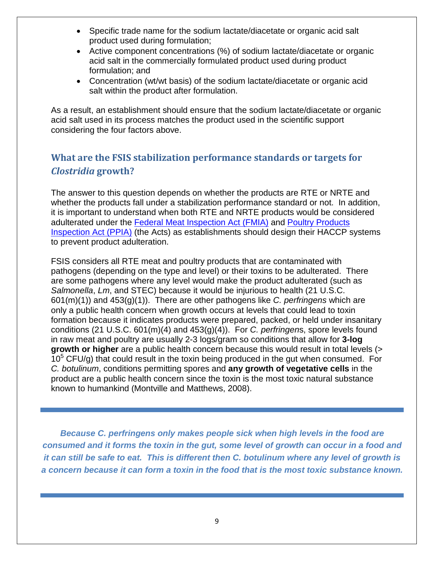- Specific trade name for the sodium lactate/diacetate or organic acid salt product used during formulation;
- Active component concentrations (%) of sodium lactate/diacetate or organic acid salt in the commercially formulated product used during product formulation; and
- Concentration (wt/wt basis) of the sodium lactate/diacetate or organic acid salt within the product after formulation.

As a result, an establishment should ensure that the sodium lactate/diacetate or organic acid salt used in its process matches the product used in the scientific support considering the four factors above.

# <span id="page-12-0"></span>**What are the FSIS stabilization performance standards or targets for**  *Clostridia* **growth?**

The answer to this question depends on whether the products are RTE or NRTE and whether the products fall under a stabilization performance standard or not. In addition, it is important to understand when both RTE and NRTE products would be considered adulterated under the [Federal Meat Inspection Act \(FMIA\)](http://www.fsis.usda.gov/wps/portal/fsis/topics/rulemaking/federal-meat-inspection-act) and [Poultry Products](http://www.fsis.usda.gov/wps/portal/fsis/topics/rulemaking/poultry-products-inspection-acts)  [Inspection Act](http://www.fsis.usda.gov/wps/portal/fsis/topics/rulemaking/poultry-products-inspection-acts) (PPIA) (the Acts) as establishments should design their HACCP systems to prevent product adulteration.

FSIS considers all RTE meat and poultry products that are contaminated with pathogens (depending on the type and level) or their toxins to be adulterated.There are some pathogens where any level would make the product adulterated (such as *Salmonella*, *Lm*, and STEC) because it would be injurious to health (21 U.S.C. 601(m)(1)) and 453(g)(1)). There are other pathogens like *C. perfringens* which are only a public health concern when growth occurs at levels that could lead to toxin formation because it indicates products were prepared, packed, or held under insanitary conditions (21 U.S.C. 601(m)(4) and 453(g)(4)). For *C. perfringen*s, spore levels found in raw meat and poultry are usually 2-3 logs/gram so conditions that allow for **3-log growth or higher** are a public health concern because this would result in total levels (>  $10<sup>5</sup>$  CFU/g) that could result in the toxin being produced in the gut when consumed. For *C. botulinum*, conditions permitting spores and **any growth of vegetative cells** in the product are a public health concern since the toxin is the most toxic natural substance known to humankind (Montville and Matthews, 2008).

*Because C. perfringens only makes people sick when high levels in the food are consumed and it forms the toxin in the gut, some level of growth can occur in a food and it can still be safe to eat. This is different then C. botulinum where any level of growth is a concern because it can form a toxin in the food that is the most toxic substance known.*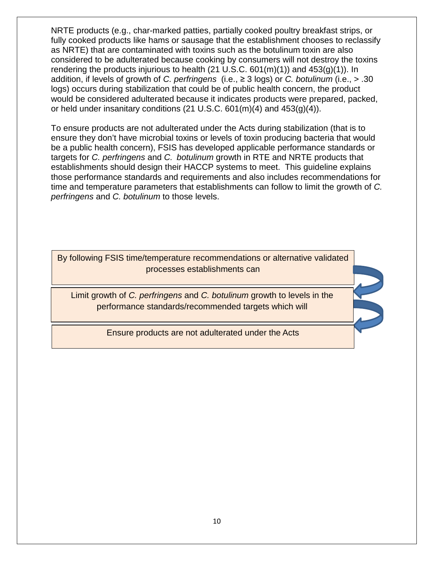NRTE products (e.g., char-marked patties, partially cooked poultry breakfast strips, or fully cooked products like hams or sausage that the establishment chooses to reclassify as NRTE) that are contaminated with toxins such as the botulinum toxin are also considered to be adulterated because cooking by consumers will not destroy the toxins rendering the products injurious to health (21 U.S.C.  $601(m)(1)$ ) and  $453(g)(1)$ ). In addition, if levels of growth of *C. perfringens* (i.e., ≥ 3 logs) or *C. botulinum* (i.e., > .30 logs) occurs during stabilization that could be of public health concern, the product would be considered adulterated because it indicates products were prepared, packed, or held under insanitary conditions (21 U.S.C.  $601(m)(4)$  and  $453(g)(4)$ ).

To ensure products are not adulterated under the Acts during stabilization (that is to ensure they don't have microbial toxins or levels of toxin producing bacteria that would be a public health concern), FSIS has developed applicable performance standards or targets for *C. perfringens* and *C. botulinum* growth in RTE and NRTE products that establishments should design their HACCP systems to meet. This guideline explains those performance standards and requirements and also includes recommendations for time and temperature parameters that establishments can follow to limit the growth of *C. perfringens* and *C. botulinum* to those levels.

By following FSIS time/temperature recommendations or alternative validated processes establishments can

 $\overline{a}$ 

Limit growth of *C. perfringens* and *C. botulinum* growth to levels in the performance standards/recommended targets which will

Ensure products are not adulterated under the Acts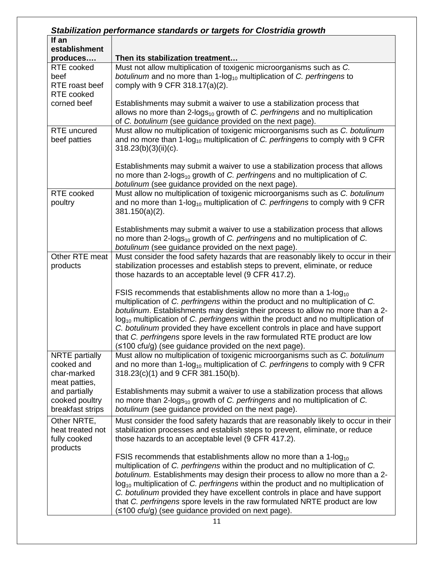|                                                                     | Stabilization performance standards or targets for Clostridia growth                                                                                                                                                                                                                                                                                                                                                                                                                                                                                                              |
|---------------------------------------------------------------------|-----------------------------------------------------------------------------------------------------------------------------------------------------------------------------------------------------------------------------------------------------------------------------------------------------------------------------------------------------------------------------------------------------------------------------------------------------------------------------------------------------------------------------------------------------------------------------------|
| If an                                                               |                                                                                                                                                                                                                                                                                                                                                                                                                                                                                                                                                                                   |
| establishment                                                       |                                                                                                                                                                                                                                                                                                                                                                                                                                                                                                                                                                                   |
| produces                                                            | Then its stabilization treatment                                                                                                                                                                                                                                                                                                                                                                                                                                                                                                                                                  |
| <b>RTE</b> cooked<br>beef<br>RTE roast beef<br>RTE cooked           | Must not allow multiplication of toxigenic microorganisms such as C.<br>botulinum and no more than 1-log <sub>10</sub> multiplication of C. perfringens to<br>comply with 9 CFR 318.17(a)(2).                                                                                                                                                                                                                                                                                                                                                                                     |
| corned beef                                                         | Establishments may submit a waiver to use a stabilization process that<br>allows no more than 2-logs <sub>10</sub> growth of C. perfringens and no multiplication<br>of C. botulinum (see guidance provided on the next page).                                                                                                                                                                                                                                                                                                                                                    |
| <b>RTE</b> uncured<br>beef patties                                  | Must allow no multiplication of toxigenic microorganisms such as C. botulinum<br>and no more than 1-log <sub>10</sub> multiplication of C. perfringens to comply with 9 CFR<br>$318.23(b)(3)(ii)(c)$ .                                                                                                                                                                                                                                                                                                                                                                            |
|                                                                     | Establishments may submit a waiver to use a stabilization process that allows<br>no more than 2-logs <sub>10</sub> growth of C. perfringens and no multiplication of C.<br>botulinum (see guidance provided on the next page).                                                                                                                                                                                                                                                                                                                                                    |
| RTE cooked<br>poultry                                               | Must allow no multiplication of toxigenic microorganisms such as C. botulinum<br>and no more than 1-log <sub>10</sub> multiplication of C. perfringens to comply with 9 CFR<br>$381.150(a)(2)$ .                                                                                                                                                                                                                                                                                                                                                                                  |
|                                                                     | Establishments may submit a waiver to use a stabilization process that allows<br>no more than 2-logs <sub>10</sub> growth of C. perfringens and no multiplication of C.<br>botulinum (see guidance provided on the next page).                                                                                                                                                                                                                                                                                                                                                    |
| Other RTE meat<br>products                                          | Must consider the food safety hazards that are reasonably likely to occur in their<br>stabilization processes and establish steps to prevent, eliminate, or reduce<br>those hazards to an acceptable level (9 CFR 417.2).                                                                                                                                                                                                                                                                                                                                                         |
|                                                                     | FSIS recommends that establishments allow no more than a 1-log <sub>10</sub><br>multiplication of C. perfringens within the product and no multiplication of C.<br>botulinum. Establishments may design their process to allow no more than a 2-<br>$log_{10}$ multiplication of C. perfringens within the product and no multiplication of<br>C. botulinum provided they have excellent controls in place and have support<br>that C. perfringens spore levels in the raw formulated RTE product are low<br>$(\leq 100 \text{ cfu/g})$ (see guidance provided on the next page). |
| <b>NRTE</b> partially<br>cooked and<br>char-marked<br>meat patties, | Must allow no multiplication of toxigenic microorganisms such as C. botulinum<br>and no more than 1-log <sub>10</sub> multiplication of C. perfringens to comply with 9 CFR<br>318.23(c)(1) and 9 CFR 381.150(b).                                                                                                                                                                                                                                                                                                                                                                 |
| and partially<br>cooked poultry<br>breakfast strips                 | Establishments may submit a waiver to use a stabilization process that allows<br>no more than 2-logs <sub>10</sub> growth of C. perfringens and no multiplication of C.<br>botulinum (see guidance provided on the next page).                                                                                                                                                                                                                                                                                                                                                    |
| Other NRTE,<br>heat treated not<br>fully cooked<br>products         | Must consider the food safety hazards that are reasonably likely to occur in their<br>stabilization processes and establish steps to prevent, eliminate, or reduce<br>those hazards to an acceptable level (9 CFR 417.2).                                                                                                                                                                                                                                                                                                                                                         |
|                                                                     | FSIS recommends that establishments allow no more than a 1-log <sub>10</sub><br>multiplication of C. perfringens within the product and no multiplication of C.<br>botulinum. Establishments may design their process to allow no more than a 2-<br>$log_{10}$ multiplication of C. perfringens within the product and no multiplication of<br>C. botulinum provided they have excellent controls in place and have support<br>that C. perfringens spore levels in the raw formulated NRTE product are low<br>(≤100 cfu/g) (see guidance provided on next page).<br>11            |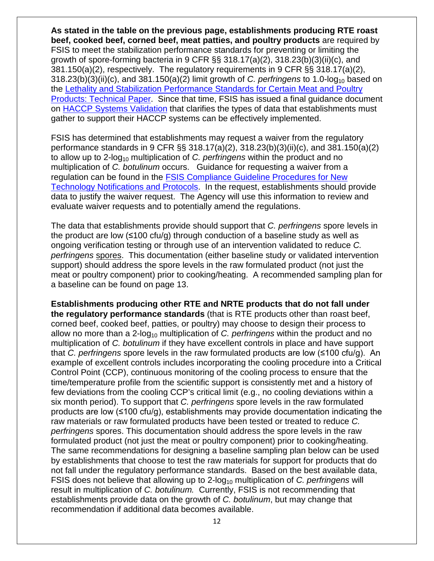**As stated in the table on the previous page, establishments producing RTE roast beef, cooked beef, corned beef, meat patties, and poultry products** are required by FSIS to meet the stabilization performance standards for preventing or limiting the growth of spore-forming bacteria in 9 CFR §§ 318.17(a)(2), 318.23(b)(3)(ii)(c), and 381.150(a)(2), respectively. The regulatory requirements in 9 CFR §§ 318.17(a)(2), 318.23(b)(3)(ii)(c), and 381.150(a)(2) limit growth of *C. perfringens* to 1.0-log<sub>10</sub> based on the [Lethality and Stabilization Performance Standards for Certain Meat and Poultry](https://www.fsis.usda.gov/wps/wcm/connect/d9932e95-49da-4c98-a55e-246036571fc6/95-033F_tech_paper.pdf?MOD=AJPERES)  [Products: Technical Paper.](https://www.fsis.usda.gov/wps/wcm/connect/d9932e95-49da-4c98-a55e-246036571fc6/95-033F_tech_paper.pdf?MOD=AJPERES) Since that time, FSIS has issued a final guidance document on [HACCP Systems Validation](http://www.fsis.usda.gov/wps/wcm/connect/a70bb780-e1ff-4a35-9a9a-3fb40c8fe584/HACCP_Systems_Validation.pdf?MOD=AJPERES) that clarifies the types of data that establishments must gather to support their HACCP systems can be effectively implemented.

FSIS has determined that establishments may request a waiver from the regulatory performance standards in 9 CFR §§ 318.17(a)(2), 318.23(b)(3)(ii)(c), and 381.150(a)(2) to allow up to 2-log<sub>10</sub> multiplication of *C. perfringens* within the product and no multiplication of *C. botulinum* occurs. Guidance for requesting a waiver from a regulation can be found in the [FSIS Compliance Guideline Procedures for New](http://www.fsis.usda.gov/wps/wcm/connect/c64d8f3b-56aa-49c9-91f3-daf0caaba6bd/New-Technology-Protocols-042015.pdf?MOD=AJPERES)  [Technology Notifications and Protocols.](http://www.fsis.usda.gov/wps/wcm/connect/c64d8f3b-56aa-49c9-91f3-daf0caaba6bd/New-Technology-Protocols-042015.pdf?MOD=AJPERES) In the request, establishments should provide data to justify the waiver request. The Agency will use this information to review and evaluate waiver requests and to potentially amend the regulations.

The data that establishments provide should support that *C. perfringens* spore levels in the product are low ( $\leq 100$  cfu/g) through conduction of a baseline study as well as ongoing verification testing or through use of an intervention validated to reduce *C. perfringens* spores. This documentation (either baseline study or validated intervention support) should address the spore levels in the raw formulated product (not just the meat or poultry component) prior to cooking/heating. A recommended sampling plan for a baseline can be found on page 13.

**Establishments producing other RTE and NRTE products that do not fall under the regulatory performance standards** (that is RTE products other than roast beef, corned beef, cooked beef, patties, or poultry) may choose to design their process to allow no more than a 2-log<sub>10</sub> multiplication of *C. perfringens* within the product and no multiplication of *C. botulinum* if they have excellent controls in place and have support that *C. perfringens* spore levels in the raw formulated products are low (≤100 cfu/g). An example of excellent controls includes incorporating the cooling procedure into a Critical Control Point (CCP), continuous monitoring of the cooling process to ensure that the time/temperature profile from the scientific support is consistently met and a history of few deviations from the cooling CCP's critical limit (e.g., no cooling deviations within a six month period). To support that *C. perfringens* spore levels in the raw formulated products are low (≤100 cfu/g), establishments may provide documentation indicating the raw materials or raw formulated products have been tested or treated to reduce *C. perfringens* spores. This documentation should address the spore levels in the raw formulated product (not just the meat or poultry component) prior to cooking/heating. The same recommendations for designing a baseline sampling plan below can be used by establishments that choose to test the raw materials for support for products that do not fall under the regulatory performance standards. Based on the best available data, FSIS does not believe that allowing up to 2-log<sub>10</sub> multiplication of *C. perfringens* will result in multiplication of *C. botulinum.* Currently, FSIS is not recommending that establishments provide data on the growth of *C. botulinum*, but may change that recommendation if additional data becomes available.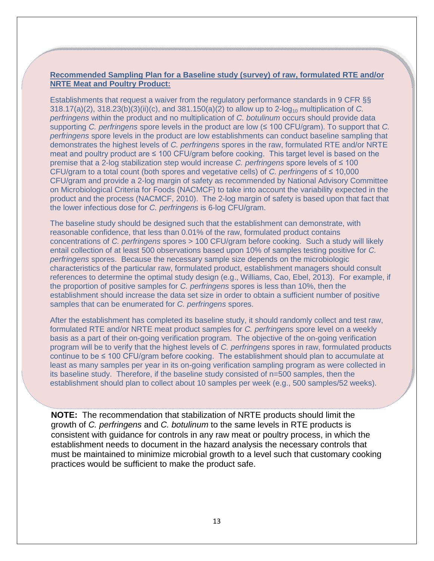#### **Recommended Sampling Plan for a Baseline study (survey) of raw, formulated RTE and/or NRTE Meat and Poultry Product:**

Establishments that request a waiver from the regulatory performance standards in 9 CFR §§ 318.17(a)(2), 318.23(b)(3)(ii)(c), and 381.150(a)(2) to allow up to 2-log<sub>10</sub> multiplication of *C*. *perfringens* within the product and no multiplication of *C. botulinum* occurs should provide data supporting *C. perfringens* spore levels in the product are low (≤ 100 CFU/gram). To support that *C. perfringens* spore levels in the product are low establishments can conduct baseline sampling that demonstrates the highest levels of *C. perfringens* spores in the raw, formulated RTE and/or NRTE meat and poultry product are ≤ 100 CFU/gram before cooking. This target level is based on the premise that a 2-log stabilization step would increase *C. perfringens* spore levels of ≤ 100 CFU/gram to a total count (both spores and vegetative cells) of *C. perfringens* of ≤ 10,000 CFU/gram and provide a 2-log margin of safety as recommended by National Advisory Committee on Microbiological Criteria for Foods (NACMCF) to take into account the variability expected in the product and the process (NACMCF, 2010). The 2-log margin of safety is based upon that fact that the lower infectious dose for *C. perfringens* is 6-log CFU/gram.

The baseline study should be designed such that the establishment can demonstrate, with reasonable confidence, that less than 0.01% of the raw, formulated product contains concentrations of *C. perfringens* spores > 100 CFU/gram before cooking. Such a study will likely entail collection of at least 500 observations based upon 10% of samples testing positive for *C. perfringens* spores. Because the necessary sample size depends on the microbiologic characteristics of the particular raw, formulated product, establishment managers should consult references to determine the optimal study design (e.g., Williams, Cao, Ebel, 2013). For example, if the proportion of positive samples for *C. perfringens* spores is less than 10%, then the establishment should increase the data set size in order to obtain a sufficient number of positive samples that can be enumerated for *C. perfringens* spores.

After the establishment has completed its baseline study, it should randomly collect and test raw, formulated RTE and/or NRTE meat product samples for *C. perfringens* spore level on a weekly basis as a part of their on-going verification program. The objective of the on-going verification program will be to verify that the highest levels of *C. perfringens* spores in raw, formulated products continue to be ≤ 100 CFU/gram before cooking. The establishment should plan to accumulate at least as many samples per year in its on-going verification sampling program as were collected in its baseline study. Therefore, if the baseline study consisted of n=500 samples, then the establishment should plan to collect about 10 samples per week (e.g., 500 samples/52 weeks).

**NOTE:** The recommendation that stabilization of NRTE products should limit the growth of *C. perfringens* and *C. botulinum* to the same levels in RTE products is consistent with guidance for controls in any raw meat or poultry process, in which the establishment needs to document in the hazard analysis the necessary controls that must be maintained to minimize microbial growth to a level such that customary cooking practices would be sufficient to make the product safe.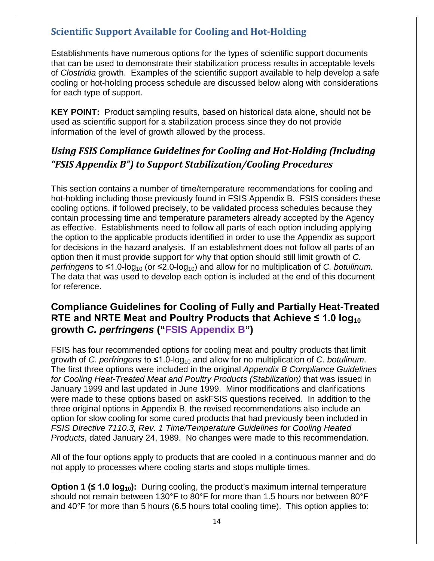### <span id="page-17-0"></span>**Scientific Support Available for Cooling and Hot-Holding**

Establishments have numerous options for the types of scientific support documents that can be used to demonstrate their stabilization process results in acceptable levels of *Clostridia* growth. Examples of the scientific support available to help develop a safe cooling or hot-holding process schedule are discussed below along with considerations for each type of support.

**KEY POINT:** Product sampling results, based on historical data alone, should not be used as scientific support for a stabilization process since they do not provide information of the level of growth allowed by the process.

# <span id="page-17-1"></span>*Using FSIS Compliance Guidelines for Cooling and Hot-Holding (Including "FSIS Appendix B") to Support Stabilization/Cooling Procedures*

This section contains a number of time/temperature recommendations for cooling and hot-holding including those previously found in FSIS Appendix B. FSIS considers these cooling options, if followed precisely, to be validated process schedules because they contain processing time and temperature parameters already accepted by the Agency as effective. Establishments need to follow all parts of each option including applying the option to the applicable products identified in order to use the Appendix as support for decisions in the hazard analysis. If an establishment does not follow all parts of an option then it must provide support for why that option should still limit growth of *C. perfringens* to  $\leq 1.0$ -log<sub>10</sub> (or  $\leq 2.0$ -log<sub>10</sub>) and allow for no multiplication of *C. botulinum.* The data that was used to develop each option is included at the end of this document for reference.

## **Compliance Guidelines for Cooling of Fully and Partially Heat-Treated RTE and NRTE Meat and Poultry Products that Achieve ≤ 1.0**  $log_{10}$ **growth** *C. perfringens* **("FSIS Appendix B")**

FSIS has four recommended options for cooling meat and poultry products that limit growth of *C. perfringens* to ≤1.0-log10 and allow for no multiplication of *C. botulinum*. The first three options were included in the original *Appendix B Compliance Guidelines for Cooling Heat-Treated Meat and Poultry Products (Stabilization)* that was issued in January 1999 and last updated in June 1999. Minor modifications and clarifications were made to these options based on askFSIS questions received. In addition to the three original options in Appendix B, the revised recommendations also include an option for slow cooling for some cured products that had previously been included in *FSIS Directive 7110.3, Rev. 1 Time/Temperature Guidelines for Cooling Heated Products*, dated January 24, 1989. No changes were made to this recommendation.

All of the four options apply to products that are cooled in a continuous manner and do not apply to processes where cooling starts and stops multiple times.

**Option 1 (≤ 1.0 log<sub>10</sub>):** During cooling, the product's maximum internal temperature should not remain between 130°F to 80°F for more than 1.5 hours nor between 80°F and 40°F for more than 5 hours (6.5 hours total cooling time). This option applies to: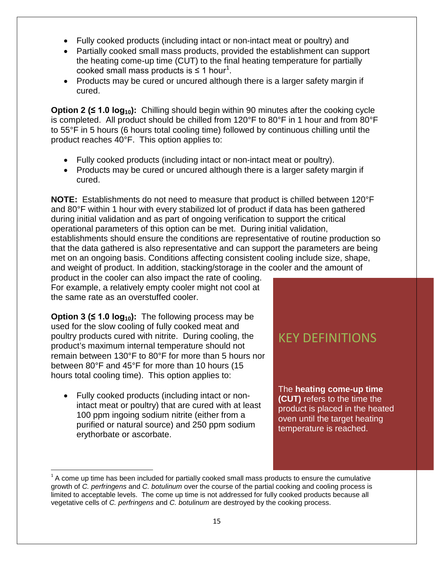- Fully cooked products (including intact or non-intact meat or poultry) and
- Partially cooked small mass products, provided the establishment can support the heating come-up time (CUT) to the final heating temperature for partially cooked small mass products is  $\leq 1$  $\leq 1$  hour<sup>1</sup>.
- Products may be cured or uncured although there is a larger safety margin if cured.

**Option 2 (≤ 1.0 log10):** Chilling should begin within 90 minutes after the cooking cycle is completed. All product should be chilled from 120°F to 80°F in 1 hour and from 80°F to 55°F in 5 hours (6 hours total cooling time) followed by continuous chilling until the product reaches 40°F. This option applies to:

- Fully cooked products (including intact or non-intact meat or poultry).
- Products may be cured or uncured although there is a larger safety margin if cured.

**NOTE:** Establishments do not need to measure that product is chilled between 120°F and 80°F within 1 hour with every stabilized lot of product if data has been gathered during initial validation and as part of ongoing verification to support the critical operational parameters of this option can be met. During initial validation, establishments should ensure the conditions are representative of routine production so that the data gathered is also representative and can support the parameters are being met on an ongoing basis. Conditions affecting consistent cooling include size, shape, and weight of product. In addition, stacking/storage in the cooler and the amount of

product in the cooler can also impact the rate of cooling. For example, a relatively empty cooler might not cool at the same rate as an overstuffed cooler.

**Option 3 (** $\leq 1.0$  **log<sub>10</sub>):** The following process may be used for the slow cooling of fully cooked meat and poultry products cured with nitrite. During cooling, the product's maximum internal temperature should not remain between 130°F to 80°F for more than 5 hours nor between 80°F and 45°F for more than 10 hours (15 hours total cooling time). This option applies to:

• Fully cooked products (including intact or nonintact meat or poultry) that are cured with at least 100 ppm ingoing sodium nitrite (either from a purified or natural source) and 250 ppm sodium erythorbate or ascorbate.

# KEY DEFINITIONS

The **heating come-up time (CUT)** refers to the time the product is placed in the heated oven until the target heating temperature is reached.

<span id="page-18-0"></span> $1<sup>1</sup>$  A come up time has been included for partially cooked small mass products to ensure the cumulative growth of *C. perfringens* and *C. botulinum* over the course of the partial cooking and cooling process is limited to acceptable levels. The come up time is not addressed for fully cooked products because all vegetative cells of *C. perfringens* and *C. botulinum* are destroyed by the cooking process.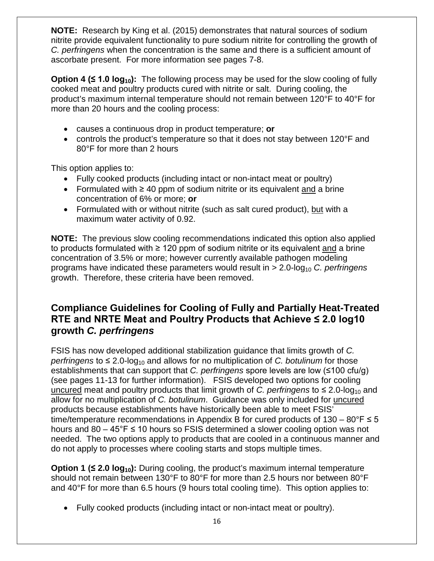**NOTE:** Research by King et al. (2015) demonstrates that natural sources of sodium nitrite provide equivalent functionality to pure sodium nitrite for controlling the growth of *C. perfringens* when the concentration is the same and there is a sufficient amount of ascorbate present. For more information see pages 7-8.

**Option 4 (≤ 1.0 log<sub>10</sub>):** The following process may be used for the slow cooling of fully cooked meat and poultry products cured with nitrite or salt. During cooling, the product's maximum internal temperature should not remain between 120°F to 40°F for more than 20 hours and the cooling process:

- causes a continuous drop in product temperature; **or**
- controls the product's temperature so that it does not stay between 120°F and 80°F for more than 2 hours

This option applies to:

- Fully cooked products (including intact or non-intact meat or poultry)
- Formulated with ≥ 40 ppm of sodium nitrite or its equivalent and a brine concentration of 6% or more; **or**
- Formulated with or without nitrite (such as salt cured product), but with a maximum water activity of 0.92.

**NOTE:** The previous slow cooling recommendations indicated this option also applied to products formulated with ≥ 120 ppm of sodium nitrite or its equivalent and a brine concentration of 3.5% or more; however currently available pathogen modeling programs have indicated these parameters would result in > 2.0-log<sub>10</sub> *C. perfringens* growth. Therefore, these criteria have been removed.

### **Compliance Guidelines for Cooling of Fully and Partially Heat-Treated RTE and NRTE Meat and Poultry Products that Achieve ≤ 2.0 log10 growth** *C. perfringens*

FSIS has now developed additional stabilization guidance that limits growth of *C. perfringens* to  $\leq 2.0$ -log<sub>10</sub> and allows for no multiplication of *C. botulinum* for those establishments that can support that *C. perfringens* spore levels are low (≤100 cfu/g) (see pages 11-13 for further information). FSIS developed two options for cooling uncured meat and poultry products that limit growth of *C. perfringens* to  $\leq 2.0$ -log<sub>10</sub> and allow for no multiplication of *C. botulinum*. Guidance was only included for uncured products because establishments have historically been able to meet FSIS' time/temperature recommendations in Appendix B for cured products of  $130 - 80$ °F  $\leq 5$ hours and 80 – 45°F ≤ 10 hours so FSIS determined a slower cooling option was not needed. The two options apply to products that are cooled in a continuous manner and do not apply to processes where cooling starts and stops multiple times.

**Option 1 (≤ 2.0 log<sub>10</sub>):** During cooling, the product's maximum internal temperature should not remain between 130°F to 80°F for more than 2.5 hours nor between 80°F and 40°F for more than 6.5 hours (9 hours total cooling time). This option applies to:

• Fully cooked products (including intact or non-intact meat or poultry).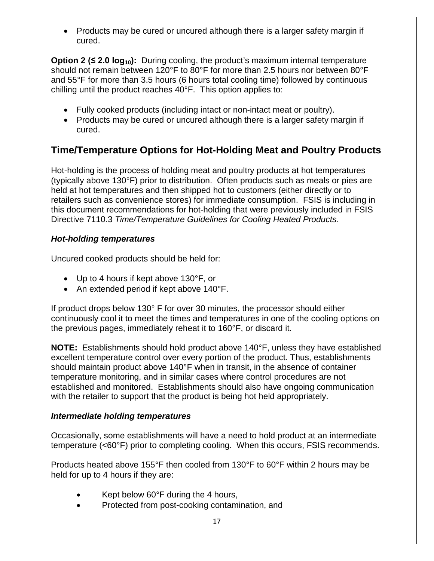• Products may be cured or uncured although there is a larger safety margin if cured.

**Option 2 (≤ 2.0 log<sub>10</sub>):** During cooling, the product's maximum internal temperature should not remain between 120°F to 80°F for more than 2.5 hours nor between 80°F and 55°F for more than 3.5 hours (6 hours total cooling time) followed by continuous chilling until the product reaches 40°F. This option applies to:

- Fully cooked products (including intact or non-intact meat or poultry).
- Products may be cured or uncured although there is a larger safety margin if cured.

## **Time/Temperature Options for Hot-Holding Meat and Poultry Products**

Hot-holding is the process of holding meat and poultry products at hot temperatures (typically above 130°F) prior to distribution. Often products such as meals or pies are held at hot temperatures and then shipped hot to customers (either directly or to retailers such as convenience stores) for immediate consumption. FSIS is including in this document recommendations for hot-holding that were previously included in FSIS Directive 7110.3 *Time/Temperature Guidelines for Cooling Heated Products*.

### *Hot-holding temperatures*

Uncured cooked products should be held for:

- Up to 4 hours if kept above 130°F, or
- An extended period if kept above 140°F.

If product drops below 130° F for over 30 minutes, the processor should either continuously cool it to meet the times and temperatures in one of the cooling options on the previous pages, immediately reheat it to 160°F, or discard it.

**NOTE:** Establishments should hold product above 140°F, unless they have established excellent temperature control over every portion of the product. Thus, establishments should maintain product above 140°F when in transit, in the absence of container temperature monitoring, and in similar cases where control procedures are not established and monitored. Establishments should also have ongoing communication with the retailer to support that the product is being hot held appropriately.

### <span id="page-20-0"></span>*Intermediate holding temperatures*

Occasionally, some establishments will have a need to hold product at an intermediate temperature (<60°F) prior to completing cooling. When this occurs, FSIS recommends.

Products heated above 155°F then cooled from 130°F to 60°F within 2 hours may be held for up to 4 hours if they are:

- Kept below  $60^{\circ}$ F during the 4 hours,
- Protected from post-cooking contamination, and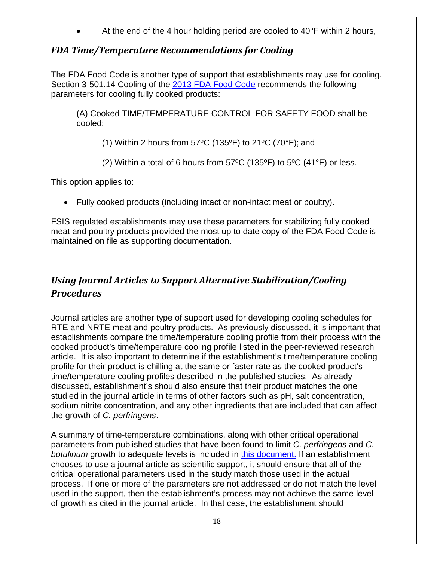At the end of the 4 hour holding period are cooled to 40°F within 2 hours,

### *FDA Time/Temperature Recommendations for Cooling*

The FDA Food Code is another type of support that establishments may use for cooling. Section 3-501.14 Cooling of the [2013 FDA Food Code](http://www.fda.gov/downloads/Food/GuidanceRegulation/RetailFoodProtection/FoodCode/UCM374510.pdf) recommends the following parameters for cooling fully cooked products:

(A) Cooked TIME/TEMPERATURE CONTROL FOR SAFETY FOOD shall be cooled:

(1) Within 2 hours from 57°C (135°F) to 21°C (70°F); and

(2) Within a total of 6 hours from  $57^{\circ}$ C (135°F) to  $5^{\circ}$ C (41°F) or less.

This option applies to:

• Fully cooked products (including intact or non-intact meat or poultry).

FSIS regulated establishments may use these parameters for stabilizing fully cooked meat and poultry products provided the most up to date copy of the FDA Food Code is maintained on file as supporting documentation.

# <span id="page-21-0"></span>*Using Journal Articles to Support Alternative Stabilization/Cooling Procedures*

Journal articles are another type of support used for developing cooling schedules for RTE and NRTE meat and poultry products. As previously discussed, it is important that establishments compare the time/temperature cooling profile from their process with the cooked product's time/temperature cooling profile listed in the peer-reviewed research article. It is also important to determine if the establishment's time/temperature cooling profile for their product is chilling at the same or faster rate as the cooked product's time/temperature cooling profiles described in the published studies. As already discussed, establishment's should also ensure that their product matches the one studied in the journal article in terms of other factors such as pH, salt concentration, sodium nitrite concentration, and any other ingredients that are included that can affect the growth of *C. perfringens*.

A summary of time-temperature combinations, along with other critical operational parameters from published studies that have been found to limit *C. perfringens* and *C. botulinum* growth to adequate levels is included in [this document.](#page-41-0) If an establishment chooses to use a journal article as scientific support, it should ensure that all of the critical operational parameters used in the study match those used in the actual process. If one or more of the parameters are not addressed or do not match the level used in the support, then the establishment's process may not achieve the same level of growth as cited in the journal article. In that case, the establishment should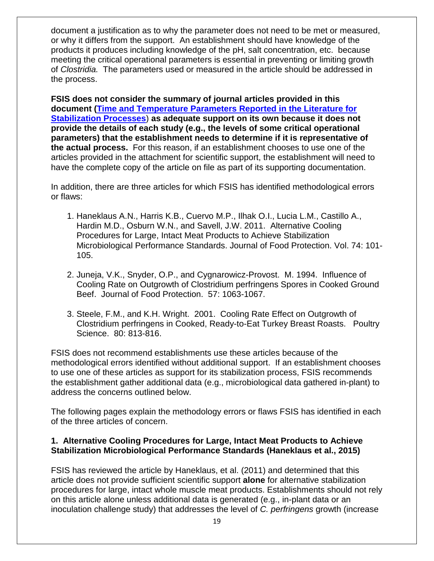document a justification as to why the parameter does not need to be met or measured, or why it differs from the support. An establishment should have knowledge of the products it produces including knowledge of the pH, salt concentration, etc. because meeting the critical operational parameters is essential in preventing or limiting growth of *Clostridia.* The parameters used or measured in the article should be addressed in the process.

**FSIS does not consider the summary of journal articles provided in this document [\(Time and Temperature Parameters Reported in the Literature for](#page-41-0)  [Stabilization Processes](#page-41-0)**) **as adequate support on its own because it does not provide the details of each study (e.g., the levels of some critical operational parameters) that the establishment needs to determine if it is representative of the actual process.** For this reason, if an establishment chooses to use one of the articles provided in the attachment for scientific support, the establishment will need to have the complete copy of the article on file as part of its supporting documentation.

In addition, there are three articles for which FSIS has identified methodological errors or flaws:

- 1. Haneklaus A.N., Harris K.B., Cuervo M.P., Ilhak O.I., Lucia L.M., Castillo A., Hardin M.D., Osburn W.N., and Savell, J.W. 2011. Alternative Cooling Procedures for Large, Intact Meat Products to Achieve Stabilization Microbiological Performance Standards. Journal of Food Protection. Vol. 74: 101- 105.
- 2. Juneja, V.K., Snyder, O.P., and Cygnarowicz-Provost. M. 1994. Influence of Cooling Rate on Outgrowth of Clostridium perfringens Spores in Cooked Ground Beef. Journal of Food Protection. 57: 1063-1067.
- 3. Steele, F.M., and K.H. Wright. 2001. Cooling Rate Effect on Outgrowth of Clostridium perfringens in Cooked, Ready-to-Eat Turkey Breast Roasts. Poultry Science. 80: 813-816.

FSIS does not recommend establishments use these articles because of the methodological errors identified without additional support. If an establishment chooses to use one of these articles as support for its stabilization process, FSIS recommends the establishment gather additional data (e.g., microbiological data gathered in-plant) to address the concerns outlined below.

The following pages explain the methodology errors or flaws FSIS has identified in each of the three articles of concern.

#### **1. Alternative Cooling Procedures for Large, Intact Meat Products to Achieve Stabilization Microbiological Performance Standards (Haneklaus et al., 2015)**

FSIS has reviewed the article by Haneklaus, et al. (2011) and determined that this article does not provide sufficient scientific support **alone** for alternative stabilization procedures for large, intact whole muscle meat products. Establishments should not rely on this article alone unless additional data is generated (e.g., in-plant data or an inoculation challenge study) that addresses the level of *C. perfringens* growth (increase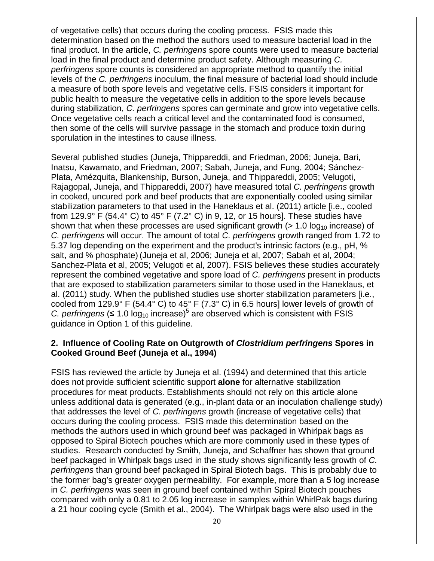of vegetative cells) that occurs during the cooling process. FSIS made this determination based on the method the authors used to measure bacterial load in the final product. In the article, *C. perfringens* spore counts were used to measure bacterial load in the final product and determine product safety. Although measuring *C. perfringens* spore counts is considered an appropriate method to quantify the initial levels of the *C. perfringens* inoculum, the final measure of bacterial load should include a measure of both spore levels and vegetative cells. FSIS considers it important for public health to measure the vegetative cells in addition to the spore levels because during stabilization, *C. perfringens* spores can germinate and grow into vegetative cells. Once vegetative cells reach a critical level and the contaminated food is consumed, then some of the cells will survive passage in the stomach and produce toxin during sporulation in the intestines to cause illness.

Several published studies (Juneja, Thippareddi, and Friedman, 2006; Juneja, Bari, Inatsu, Kawamato, and Friedman, 2007; Sabah, Juneja, and Fung, 2004; Sánchez-Plata, Amézquita, Blankenship, Burson, Juneja, and Thippareddi, 2005; Velugoti, Rajagopal, Juneja, and Thippareddi, 2007) have measured total *C. perfringens* growth in cooked, uncured pork and beef products that are exponentially cooled using similar stabilization parameters to that used in the Haneklaus et al. (2011) article [i.e., cooled from 129.9 $\degree$  F (54.4 $\degree$  C) to 45 $\degree$  F (7.2 $\degree$  C) in 9, 12, or 15 hours]. These studies have shown that when these processes are used significant growth  $(> 1.0 \log_{10}$  increase) of *C. perfringens* will occur. The amount of total *C. perfringens* growth ranged from 1.72 to 5.37 log depending on the experiment and the product's intrinsic factors (e.g., pH, % salt, and % phosphate) (Juneja et al, 2006; Juneja et al, 2007; Sabah et al, 2004; Sanchez-Plata et al, 2005; Velugoti et al, 2007). FSIS believes these studies accurately represent the combined vegetative and spore load of *C. perfringens* present in products that are exposed to stabilization parameters similar to those used in the Haneklaus, et al. (2011) study. When the published studies use shorter stabilization parameters [i.e., cooled from 129.9° F (54.4° C) to 45° F (7.3° C) in 6.5 hours] lower levels of growth of *C. perfringens* ( $\leq 1.0 \log_{10}$  increase)<sup>5</sup> are observed which is consistent with FSIS guidance in Option 1 of this guideline.

#### **2. Influence of Cooling Rate on Outgrowth of** *Clostridium perfringens* **Spores in Cooked Ground Beef (Juneja et al., 1994)**

FSIS has reviewed the article by Juneja et al. (1994) and determined that this article does not provide sufficient scientific support **alone** for alternative stabilization procedures for meat products. Establishments should not rely on this article alone unless additional data is generated (e.g., in-plant data or an inoculation challenge study) that addresses the level of *C. perfringens* growth (increase of vegetative cells) that occurs during the cooling process. FSIS made this determination based on the methods the authors used in which ground beef was packaged in Whirlpak bags as opposed to Spiral Biotech pouches which are more commonly used in these types of studies. Research conducted by Smith, Juneja, and Schaffner has shown that ground beef packaged in Whirlpak bags used in the study shows significantly less growth of *C. perfringens* than ground beef packaged in Spiral Biotech bags. This is probably due to the former bag's greater oxygen permeability. For example, more than a 5 log increase in *C. perfringens* was seen in ground beef contained within Spiral Biotech pouches compared with only a 0.81 to 2.05 log increase in samples within WhirlPak bags during a 21 hour cooling cycle (Smith et al., 2004). The Whirlpak bags were also used in the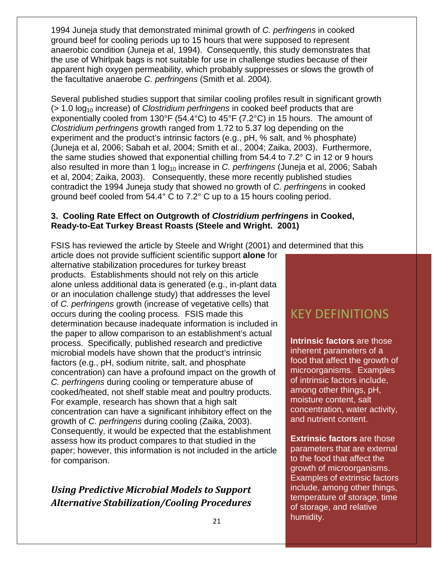1994 Juneja study that demonstrated minimal growth of *C. perfringens* in cooked ground beef for cooling periods up to 15 hours that were supposed to represent anaerobic condition (Juneja et al, 1994). Consequently, this study demonstrates that the use of Whirlpak bags is not suitable for use in challenge studies because of their apparent high oxygen permeability, which probably suppresses or slows the growth of the facultative anaerobe *C. perfringens* (Smith et al. 2004).

Several published studies support that similar cooling profiles result in significant growth (> 1.0 log10 increase) of *Clostridium perfringens* in cooked beef products that are exponentially cooled from 130°F (54.4°C) to 45°F (7.2°C) in 15 hours. The amount of *Clostridium perfringens* growth ranged from 1.72 to 5.37 log depending on the experiment and the product's intrinsic factors (e.g., pH, % salt, and % phosphate) (Juneja et al, 2006; Sabah et al, 2004; Smith et al., 2004; Zaika, 2003). Furthermore, the same studies showed that exponential chilling from 54.4 to 7.2° C in 12 or 9 hours also resulted in more than 1 log<sub>10</sub> increase in *C. perfringens* (Juneja et al, 2006; Sabah et al, 2004; Zaika, 2003). Consequently, these more recently published studies contradict the 1994 Juneja study that showed no growth of *C. perfringens* in cooked ground beef cooled from 54.4° C to 7.2° C up to a 15 hours cooling period.

### **3. Cooling Rate Effect on Outgrowth of** *Clostridium perfringens* **in Cooked, Ready-to-Eat Turkey Breast Roasts (Steele and Wright. 2001)**

FSIS has reviewed the article by Steele and Wright (2001) and determined that this

article does not provide sufficient scientific support **alone** for alternative stabilization procedures for turkey breast products. Establishments should not rely on this article alone unless additional data is generated (e.g., in-plant data or an inoculation challenge study) that addresses the level of *C. perfringens* growth (increase of vegetative cells) that occurs during the cooling process. FSIS made this determination because inadequate information is included in the paper to allow comparison to an establishment's actual process. Specifically, published research and predictive microbial models have shown that the product's intrinsic factors (e.g., pH, sodium nitrite, salt, and phosphate concentration) can have a profound impact on the growth of *C. perfringens* during cooling or temperature abuse of cooked/heated, not shelf stable meat and poultry products. For example, research has shown that a high salt concentration can have a significant inhibitory effect on the growth of *C. perfringens* during cooling (Zaika, 2003). Consequently, it would be expected that the establishment assess how its product compares to that studied in the paper; however, this information is not included in the article for comparison.

# <span id="page-24-0"></span>*Using Predictive Microbial Models to Support Alternative Stabilization/Cooling Procedures*

# KEY DEFINITIONS

**Intrinsic factors** are those inherent parameters of a food that affect the growth of microorganisms. Examples of intrinsic factors include, among other things, pH, moisture content, salt concentration, water activity, and nutrient content.

**Extrinsic factors** are those parameters that are external to the food that affect the growth of microorganisms. Examples of extrinsic factors include, among other things, temperature of storage, time of storage, and relative humidity.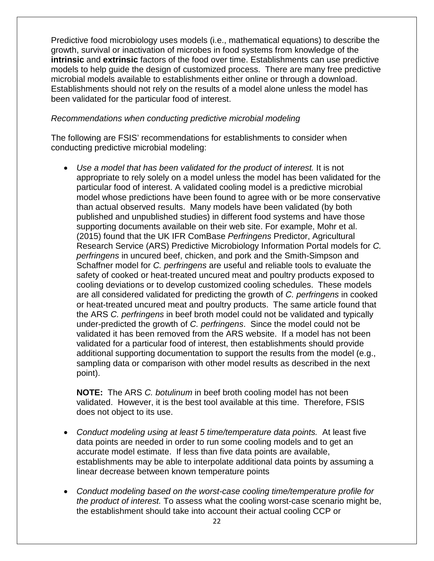Predictive food microbiology uses models (i.e., mathematical equations) to describe the growth, survival or inactivation of microbes in food systems from knowledge of the **intrinsic** and **extrinsic** factors of the food over time. Establishments can use predictive models to help guide the design of customized process. There are many free predictive microbial models available to establishments either online or through a download. Establishments should not rely on the results of a model alone unless the model has been validated for the particular food of interest.

#### *Recommendations when conducting predictive microbial modeling*

The following are FSIS' recommendations for establishments to consider when conducting predictive microbial modeling:

• *Use a model that has been validated for the product of interest.* It is not appropriate to rely solely on a model unless the model has been validated for the particular food of interest. A validated cooling model is a predictive microbial model whose predictions have been found to agree with or be more conservative than actual observed results. Many models have been validated (by both published and unpublished studies) in different food systems and have those supporting documents available on their web site. For example, Mohr et al. (2015) found that the UK IFR ComBase *Perfringens* Predictor, Agricultural Research Service (ARS) Predictive Microbiology Information Portal models for *C. perfringens* in uncured beef, chicken, and pork and the Smith-Simpson and Schaffner model for *C. perfringens* are useful and reliable tools to evaluate the safety of cooked or heat-treated uncured meat and poultry products exposed to cooling deviations or to develop customized cooling schedules. These models are all considered validated for predicting the growth of *C. perfringens* in cooked or heat-treated uncured meat and poultry products. The same article found that the ARS *C. perfringens* in beef broth model could not be validated and typically under-predicted the growth of *C. perfringens*. Since the model could not be validated it has been removed from the ARS website. If a model has not been validated for a particular food of interest, then establishments should provide additional supporting documentation to support the results from the model (e.g., sampling data or comparison with other model results as described in the next point).

**NOTE:** The ARS *C. botulinum* in beef broth cooling model has not been validated. However, it is the best tool available at this time. Therefore, FSIS does not object to its use.

- *Conduct modeling using at least 5 time/temperature data points.* At least five data points are needed in order to run some cooling models and to get an accurate model estimate. If less than five data points are available, establishments may be able to interpolate additional data points by assuming a linear decrease between known temperature points
- *Conduct modeling based on the worst-case cooling time/temperature profile for the product of interest.* To assess what the cooling worst-case scenario might be, the establishment should take into account their actual cooling CCP or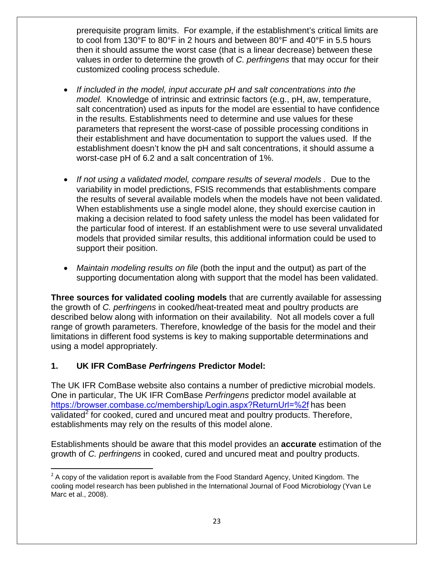prerequisite program limits. For example, if the establishment's critical limits are to cool from 130°F to 80°F in 2 hours and between 80°F and 40°F in 5.5 hours then it should assume the worst case (that is a linear decrease) between these values in order to determine the growth of *C. perfringens* that may occur for their customized cooling process schedule.

- *If included in the model, input accurate pH and salt concentrations into the model.* Knowledge of intrinsic and extrinsic factors (e.g., pH, aw, temperature, salt concentration) used as inputs for the model are essential to have confidence in the results. Establishments need to determine and use values for these parameters that represent the worst-case of possible processing conditions in their establishment and have documentation to support the values used. If the establishment doesn't know the pH and salt concentrations, it should assume a worst-case pH of 6.2 and a salt concentration of 1%.
- *If not using a validated model, compare results of several models .* Due to the variability in model predictions, FSIS recommends that establishments compare the results of several available models when the models have not been validated. When establishments use a single model alone, they should exercise caution in making a decision related to food safety unless the model has been validated for the particular food of interest. If an establishment were to use several unvalidated models that provided similar results, this additional information could be used to support their position.
- *Maintain modeling results on file* (both the input and the output) as part of the supporting documentation along with support that the model has been validated.

**Three sources for validated cooling models** that are currently available for assessing the growth of *C. perfringens* in cooked/heat-treated meat and poultry products are described below along with information on their availability. Not all models cover a full range of growth parameters. Therefore, knowledge of the basis for the model and their limitations in different food systems is key to making supportable determinations and using a model appropriately.

### **1. UK IFR ComBase** *Perfringens* **Predictor Model:**

The UK IFR ComBase website also contains a number of predictive microbial models. One in particular, The UK IFR ComBase *Perfringens* predictor model available at <https://browser.combase.cc/membership/Login.aspx?ReturnUrl=%2f> has been validated<sup>[2](#page-26-0)</sup> for cooked, cured and uncured meat and poultry products. Therefore, establishments may rely on the results of this model alone.

Establishments should be aware that this model provides an **accurate** estimation of the growth of *C. perfringens* in cooked, cured and uncured meat and poultry products.

<span id="page-26-0"></span> $2$  A copy of the validation report is available from the Food Standard Agency, United Kingdom. The cooling model research has been published in the International Journal of Food Microbiology (Yvan Le Marc et al., 2008).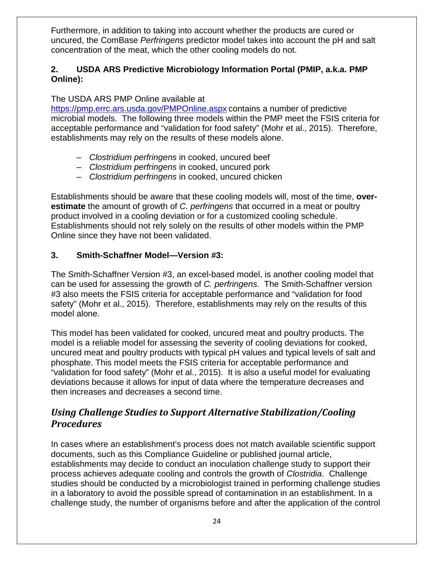Furthermore, in addition to taking into account whether the products are cured or uncured, the ComBase *Perfringens* predictor model takes into account the pH and salt concentration of the meat, which the other cooling models do not.

### **2. USDA ARS Predictive Microbiology Information Portal (PMIP, a.k.a. PMP Online):**

### The USDA ARS PMP Online available at

<https://pmp.errc.ars.usda.gov/PMPOnline.aspx> contains a number of predictive microbial models. The following three models within the PMP meet the FSIS criteria for acceptable performance and "validation for food safety" (Mohr et al., 2015). Therefore, establishments may rely on the results of these models alone.

- *Clostridium perfringens* in cooked, uncured beef
- *Clostridium perfringens* in cooked, uncured pork
- *Clostridium perfringens* in cooked, uncured chicken

Establishments should be aware that these cooling models will, most of the time, **overestimate** the amount of growth of *C. perfringens* that occurred in a meat or poultry product involved in a cooling deviation or for a customized cooling schedule. Establishments should not rely solely on the results of other models within the PMP Online since they have not been validated.

### **3. Smith-Schaffner Model—Version #3:**

The Smith-Schaffner Version #3, an excel-based model, is another cooling model that can be used for assessing the growth of *C. perfringens*. The Smith-Schaffner version #3 also meets the FSIS criteria for acceptable performance and "validation for food safety" (Mohr et al., 2015). Therefore, establishments may rely on the results of this model alone.

This model has been validated for cooked, uncured meat and poultry products. The model is a reliable model for assessing the severity of cooling deviations for cooked, uncured meat and poultry products with typical pH values and typical levels of salt and phosphate. This model meets the FSIS criteria for acceptable performance and "validation for food safety" (Mohr et al., 2015). It is also a useful model for evaluating deviations because it allows for input of data where the temperature decreases and then increases and decreases a second time.

### <span id="page-27-0"></span>*Using Challenge Studies to Support Alternative Stabilization/Cooling Procedures*

In cases where an establishment's process does not match available scientific support documents, such as this Compliance Guideline or published journal article, establishments may decide to conduct an inoculation challenge study to support their process achieves adequate cooling and controls the growth of *Clostridia*. Challenge studies should be conducted by a microbiologist trained in performing challenge studies in a laboratory to avoid the possible spread of contamination in an establishment. In a challenge study, the number of organisms before and after the application of the control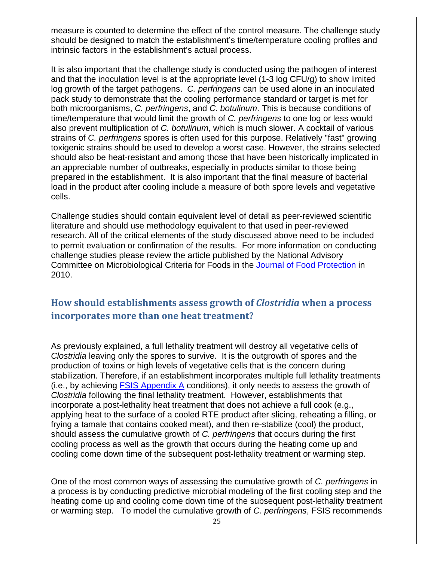measure is counted to determine the effect of the control measure. The challenge study should be designed to match the establishment's time/temperature cooling profiles and intrinsic factors in the establishment's actual process.

It is also important that the challenge study is conducted using the pathogen of interest and that the inoculation level is at the appropriate level (1-3 log CFU/g) to show limited log growth of the target pathogens. *C. perfringens* can be used alone in an inoculated pack study to demonstrate that the cooling performance standard or target is met for both microorganisms, *C. perfringens*, and *C. botulinum*. This is because conditions of time/temperature that would limit the growth of *C. perfringens* to one log or less would also prevent multiplication of *C. botulinum*, which is much slower. A cocktail of various strains of *C. perfringens* spores is often used for this purpose. Relatively "fast" growing toxigenic strains should be used to develop a worst case. However, the strains selected should also be heat-resistant and among those that have been historically implicated in an appreciable number of outbreaks, especially in products similar to those being prepared in the establishment. It is also important that the final measure of bacterial load in the product after cooling include a measure of both spore levels and vegetative cells.

Challenge studies should contain equivalent level of detail as peer-reviewed scientific literature and should use methodology equivalent to that used in peer-reviewed research. All of the critical elements of the study discussed above need to be included to permit evaluation or confirmation of the results. For more information on conducting challenge studies please review the article published by the National Advisory Committee on Microbiological Criteria for Foods in the [Journal of Food Protection](https://www.fsis.usda.gov/wps/wcm/connect/a7f8aa06-d2ac-40bf-bd7f-11c5a59b6c6a/NACMCF_JFP_Inoculated_Pack.pdf?MOD=AJPERES) in 2010.

### <span id="page-28-0"></span>**How should establishments assess growth of** *Clostridia* **when a process incorporates more than one heat treatment?**

As previously explained, a full lethality treatment will destroy all vegetative cells of *Clostridia* leaving only the spores to survive. It is the outgrowth of spores and the production of toxins or high levels of vegetative cells that is the concern during stabilization. Therefore, if an establishment incorporates multiple full lethality treatments (i.e., by achieving  $FSIS$  Appendix A conditions), it only needs to assess the growth of *Clostridia* following the final lethality treatment. However, establishments that incorporate a post-lethality heat treatment that does not achieve a full cook (e.g., applying heat to the surface of a cooled RTE product after slicing, reheating a filling, or frying a tamale that contains cooked meat), and then re-stabilize (cool) the product, should assess the cumulative growth of *C. perfringens* that occurs during the first cooling process as well as the growth that occurs during the heating come up and cooling come down time of the subsequent post-lethality treatment or warming step.

One of the most common ways of assessing the cumulative growth of *C. perfringens* in a process is by conducting predictive microbial modeling of the first cooling step and the heating come up and cooling come down time of the subsequent post-lethality treatment or warming step. To model the cumulative growth of *C. perfringens*, FSIS recommends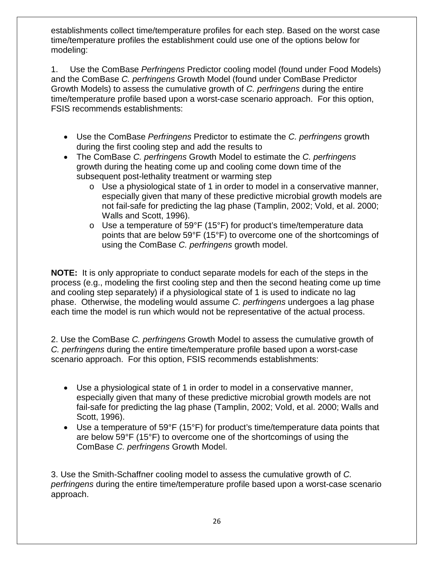establishments collect time/temperature profiles for each step. Based on the worst case time/temperature profiles the establishment could use one of the options below for modeling:

1. Use the ComBase *Perfringens* Predictor cooling model (found under Food Models) and the ComBase *C. perfringens* Growth Model (found under ComBase Predictor Growth Models) to assess the cumulative growth of *C. perfringens* during the entire time/temperature profile based upon a worst-case scenario approach. For this option, FSIS recommends establishments:

- Use the ComBase *Perfringens* Predictor to estimate the *C. perfringens* growth during the first cooling step and add the results to
- The ComBase *C. perfringens* Growth Model to estimate the *C. perfringens* growth during the heating come up and cooling come down time of the subsequent post-lethality treatment or warming step
	- o Use a physiological state of 1 in order to model in a conservative manner, especially given that many of these predictive microbial growth models are not fail-safe for predicting the lag phase (Tamplin, 2002; Vold, et al. 2000; Walls and Scott, 1996).
	- $\circ$  Use a temperature of 59°F (15°F) for product's time/temperature data points that are below 59°F (15°F) to overcome one of the shortcomings of using the ComBase *C. perfringens* growth model.

**NOTE:** It is only appropriate to conduct separate models for each of the steps in the process (e.g., modeling the first cooling step and then the second heating come up time and cooling step separately) if a physiological state of 1 is used to indicate no lag phase. Otherwise, the modeling would assume *C. perfringens* undergoes a lag phase each time the model is run which would not be representative of the actual process.

2. Use the ComBase *C. perfringens* Growth Model to assess the cumulative growth of *C. perfringens* during the entire time/temperature profile based upon a worst-case scenario approach. For this option, FSIS recommends establishments:

- Use a physiological state of 1 in order to model in a conservative manner, especially given that many of these predictive microbial growth models are not fail-safe for predicting the lag phase (Tamplin, 2002; Vold, et al. 2000; Walls and Scott, 1996).
- Use a temperature of 59°F (15°F) for product's time/temperature data points that are below 59°F (15°F) to overcome one of the shortcomings of using the ComBase *C. perfringens* Growth Model.

3. Use the Smith-Schaffner cooling model to assess the cumulative growth of *C. perfringens* during the entire time/temperature profile based upon a worst-case scenario approach.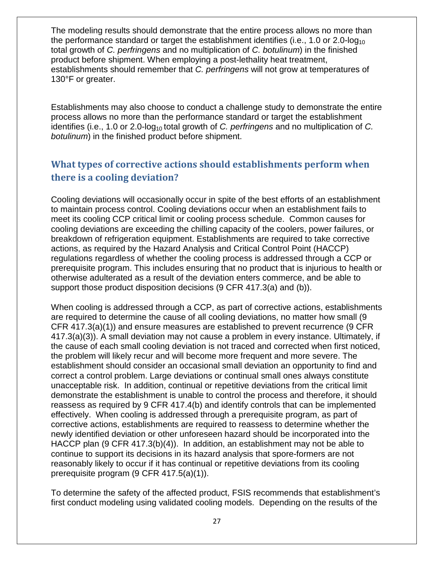The modeling results should demonstrate that the entire process allows no more than the performance standard or target the establishment identifies (i.e., 1.0 or 2.0-log<sub>10</sub> total growth of *C. perfringens* and no multiplication of *C. botulinum*) in the finished product before shipment. When employing a post-lethality heat treatment, establishments should remember that *C. perfringens* will not grow at temperatures of 130°F or greater.

Establishments may also choose to conduct a challenge study to demonstrate the entire process allows no more than the performance standard or target the establishment identifies (i.e., 1.0 or 2.0-log<sub>10</sub> total growth of *C. perfringens* and no multiplication of *C. botulinum*) in the finished product before shipment.

# <span id="page-30-0"></span>**What types of corrective actions should establishments perform when there is a cooling deviation?**

Cooling deviations will occasionally occur in spite of the best efforts of an establishment to maintain process control. Cooling deviations occur when an establishment fails to meet its cooling CCP critical limit or cooling process schedule. Common causes for cooling deviations are exceeding the chilling capacity of the coolers, power failures, or breakdown of refrigeration equipment. Establishments are required to take corrective actions, as required by the Hazard Analysis and Critical Control Point (HACCP) regulations regardless of whether the cooling process is addressed through a CCP or prerequisite program. This includes ensuring that no product that is injurious to health or otherwise adulterated as a result of the deviation enters commerce, and be able to support those product disposition decisions (9 CFR 417.3(a) and (b)).

When cooling is addressed through a CCP, as part of corrective actions, establishments are required to determine the cause of all cooling deviations, no matter how small (9 CFR 417.3(a)(1)) and ensure measures are established to prevent recurrence (9 CFR 417.3(a)(3)). A small deviation may not cause a problem in every instance. Ultimately, if the cause of each small cooling deviation is not traced and corrected when first noticed, the problem will likely recur and will become more frequent and more severe. The establishment should consider an occasional small deviation an opportunity to find and correct a control problem. Large deviations or continual small ones always constitute unacceptable risk. In addition, continual or repetitive deviations from the critical limit demonstrate the establishment is unable to control the process and therefore, it should reassess as required by 9 CFR 417.4(b) and identify controls that can be implemented effectively. When cooling is addressed through a prerequisite program, as part of corrective actions, establishments are required to reassess to determine whether the newly identified deviation or other unforeseen hazard should be incorporated into the HACCP plan (9 CFR 417.3(b)(4)). In addition, an establishment may not be able to continue to support its decisions in its hazard analysis that spore-formers are not reasonably likely to occur if it has continual or repetitive deviations from its cooling prerequisite program (9 CFR 417.5(a)(1)).

To determine the safety of the affected product, FSIS recommends that establishment's first conduct modeling using validated cooling models. Depending on the results of the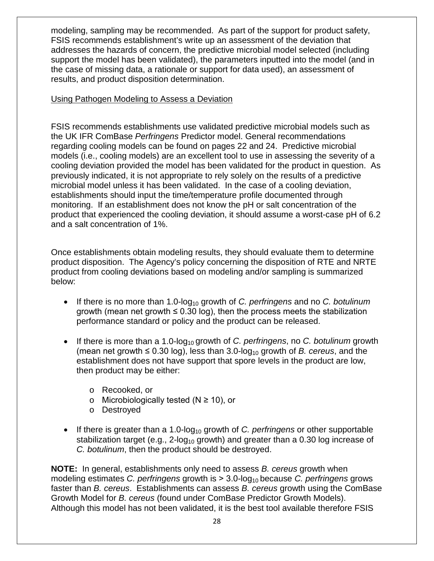modeling, sampling may be recommended. As part of the support for product safety, FSIS recommends establishment's write up an assessment of the deviation that addresses the hazards of concern, the predictive microbial model selected (including support the model has been validated), the parameters inputted into the model (and in the case of missing data, a rationale or support for data used), an assessment of results, and product disposition determination.

#### Using Pathogen Modeling to Assess a Deviation

FSIS recommends establishments use validated predictive microbial models such as the UK IFR ComBase *Perfringens* Predictor model. General recommendations regarding cooling models can be found on pages 22 and 24. Predictive microbial models (i.e., cooling models) are an excellent tool to use in assessing the severity of a cooling deviation provided the model has been validated for the product in question. As previously indicated, it is not appropriate to rely solely on the results of a predictive microbial model unless it has been validated. In the case of a cooling deviation, establishments should input the time/temperature profile documented through monitoring. If an establishment does not know the pH or salt concentration of the product that experienced the cooling deviation, it should assume a worst-case pH of 6.2 and a salt concentration of 1%.

Once establishments obtain modeling results, they should evaluate them to determine product disposition. The Agency's policy concerning the disposition of RTE and NRTE product from cooling deviations based on modeling and/or sampling is summarized below:

- If there is no more than 1.0-log<sub>10</sub> growth of *C. perfringens* and no *C. botulinum* growth (mean net growth  $\leq 0.30$  log), then the process meets the stabilization performance standard or policy and the product can be released.
- If there is more than a 1.0-log<sub>10</sub> growth of *C. perfringens*, no *C. botulinum* growth (mean net growth  $\leq 0.30$  log), less than 3.0-log<sub>10</sub> growth of *B. cereus*, and the establishment does not have support that spore levels in the product are low, then product may be either:
	- o Recooked, or
	- o Microbiologically tested (N ≥ 10), or
	- o Destroyed
- If there is greater than a 1.0-log<sub>10</sub> growth of *C. perfringens* or other supportable stabilization target (e.g.,  $2$ -log<sub>10</sub> growth) and greater than a 0.30 log increase of *C. botulinum*, then the product should be destroyed.

**NOTE:** In general, establishments only need to assess *B. cereus* growth when modeling estimates *C. perfringens* growth is  $> 3.0$ -log<sub>10</sub> because *C. perfringens* grows faster than *B. cereus*. Establishments can assess *B. cereus* growth using the ComBase Growth Model for *B. cereus* (found under ComBase Predictor Growth Models). Although this model has not been validated, it is the best tool available therefore FSIS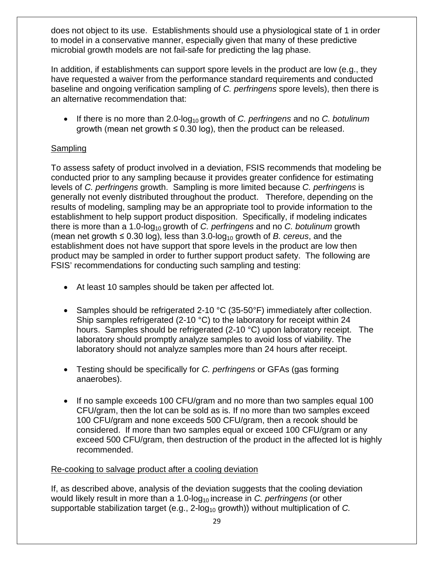does not object to its use. Establishments should use a physiological state of 1 in order to model in a conservative manner, especially given that many of these predictive microbial growth models are not fail-safe for predicting the lag phase.

In addition, if establishments can support spore levels in the product are low (e.g., they have requested a waiver from the performance standard requirements and conducted baseline and ongoing verification sampling of *C. perfringens* spore levels), then there is an alternative recommendation that:

• If there is no more than 2.0-log<sub>10</sub> growth of *C. perfringens* and no *C. botulinum* growth (mean net growth  $\leq 0.30$  log), then the product can be released.

### Sampling

To assess safety of product involved in a deviation, FSIS recommends that modeling be conducted prior to any sampling because it provides greater confidence for estimating levels of *C. perfringens* growth. Sampling is more limited because *C. perfringens* is generally not evenly distributed throughout the product. Therefore, depending on the results of modeling, sampling may be an appropriate tool to provide information to the establishment to help support product disposition. Specifically, if modeling indicates there is more than a 1.0-log<sub>10</sub> growth of *C. perfringens* and no *C. botulinum* growth (mean net growth  $\leq 0.30$  log), less than 3.0-log<sub>10</sub> growth of *B. cereus*, and the establishment does not have support that spore levels in the product are low then product may be sampled in order to further support product safety. The following are FSIS' recommendations for conducting such sampling and testing:

- At least 10 samples should be taken per affected lot.
- Samples should be refrigerated 2-10 °C (35-50°F) immediately after collection. Ship samples refrigerated (2-10 °C) to the laboratory for receipt within 24 hours. Samples should be refrigerated (2-10 °C) upon laboratory receipt. The laboratory should promptly analyze samples to avoid loss of viability. The laboratory should not analyze samples more than 24 hours after receipt.
- Testing should be specifically for *C. perfringens* or GFAs (gas forming anaerobes).
- If no sample exceeds 100 CFU/gram and no more than two samples equal 100 CFU/gram, then the lot can be sold as is. If no more than two samples exceed 100 CFU/gram and none exceeds 500 CFU/gram, then a recook should be considered. If more than two samples equal or exceed 100 CFU/gram or any exceed 500 CFU/gram, then destruction of the product in the affected lot is highly recommended.

### Re-cooking to salvage product after a cooling deviation

If, as described above, analysis of the deviation suggests that the cooling deviation would likely result in more than a 1.0-log<sub>10</sub> increase in *C. perfringens* (or other supportable stabilization target (e.g., 2-log<sub>10</sub> growth)) without multiplication of *C.*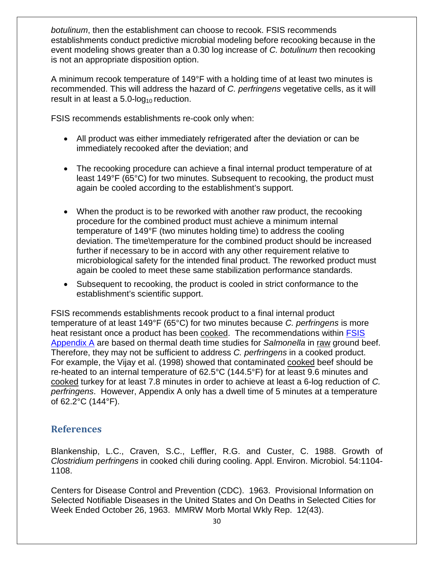*botulinum*, then the establishment can choose to recook. FSIS recommends establishments conduct predictive microbial modeling before recooking because in the event modeling shows greater than a 0.30 log increase of *C. botulinum* then recooking is not an appropriate disposition option.

A minimum recook temperature of 149°F with a holding time of at least two minutes is recommended. This will address the hazard of *C. perfringens* vegetative cells, as it will result in at least a  $5.0$ -log<sub>10</sub> reduction.

FSIS recommends establishments re-cook only when:

- All product was either immediately refrigerated after the deviation or can be immediately recooked after the deviation; and
- The recooking procedure can achieve a final internal product temperature of at least 149°F (65°C) for two minutes. Subsequent to recooking, the product must again be cooled according to the establishment's support.
- When the product is to be reworked with another raw product, the recooking procedure for the combined product must achieve a minimum internal temperature of 149°F (two minutes holding time) to address the cooling deviation. The time\temperature for the combined product should be increased further if necessary to be in accord with any other requirement relative to microbiological safety for the intended final product. The reworked product must again be cooled to meet these same stabilization performance standards.
- Subsequent to recooking, the product is cooled in strict conformance to the establishment's scientific support.

FSIS recommends establishments recook product to a final internal product temperature of at least 149°F (65°C) for two minutes because *C. perfringens* is more heat resistant once a product has been cooked. The recommendations within [FSIS](https://www.fsis.usda.gov/wps/wcm/connect/bf3f01a1-a0b7-4902-a2df-a87c73d1b633/Salmonella-Compliance-Guideline-SVSP-RTE-Appendix-A.pdf?MOD=AJPERES)  [Appendix A](https://www.fsis.usda.gov/wps/wcm/connect/bf3f01a1-a0b7-4902-a2df-a87c73d1b633/Salmonella-Compliance-Guideline-SVSP-RTE-Appendix-A.pdf?MOD=AJPERES) are based on thermal death time studies for *Salmonella* in raw ground beef. Therefore, they may not be sufficient to address *C. perfringens* in a cooked product. For example, the Vijay et al. (1998) showed that contaminated cooked beef should be re-heated to an internal temperature of 62.5°C (144.5°F) for at least 9.6 minutes and cooked turkey for at least 7.8 minutes in order to achieve at least a 6-log reduction of *C. perfringens*. However, Appendix A only has a dwell time of 5 minutes at a temperature of 62.2°C (144°F).

### <span id="page-33-0"></span>**References**

Blankenship, L.C., Craven, S.C., Leffler, R.G. and Custer, C. 1988. Growth of *Clostridium perfringens* in cooked chili during cooling. Appl. Environ. Microbiol. 54:1104- 1108.

Centers for Disease Control and Prevention (CDC). 1963. Provisional Information on Selected Notifiable Diseases in the United States and On Deaths in Selected Cities for Week Ended October 26, 1963. MMRW Morb Mortal Wkly Rep. 12(43).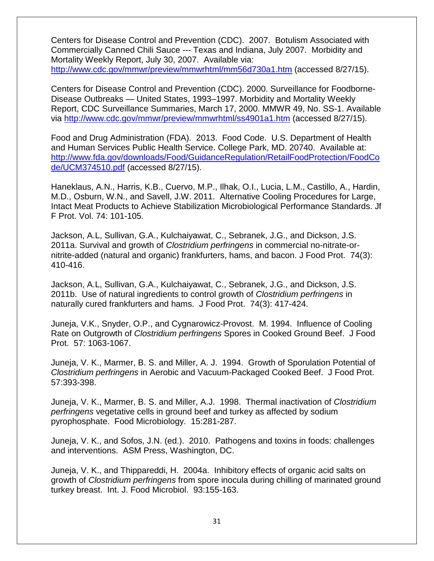Centers for Disease Control and Prevention (CDC). 2007. Botulism Associated with Commercially Canned Chili Sauce --- Texas and Indiana, July 2007. Morbidity and Mortality Weekly Report, July 30, 2007. Available via: <http://www.cdc.gov/mmwr/preview/mmwrhtml/mm56d730a1.htm> (accessed 8/27/15).

Centers for Disease Control and Prevention (CDC). 2000. Surveillance for Foodborne-Disease Outbreaks — United States, 1993–1997. Morbidity and Mortality Weekly Report, CDC Surveillance Summaries, March 17, 2000. MMWR 49, No. SS-1. Available via<http://www.cdc.gov/mmwr/preview/mmwrhtml/ss4901a1.htm> (accessed 8/27/15).

Food and Drug Administration (FDA). 2013. Food Code. U.S. Department of Health and Human Services Public Health Service. College Park, MD. 20740. Available at: [http://www.fda.gov/downloads/Food/GuidanceRegulation/RetailFoodProtection/FoodCo](http://www.fda.gov/downloads/Food/GuidanceRegulation/RetailFoodProtection/FoodCode/UCM374510.pdf) [de/UCM374510.pdf](http://www.fda.gov/downloads/Food/GuidanceRegulation/RetailFoodProtection/FoodCode/UCM374510.pdf) (accessed 8/27/15).

Haneklaus, A.N., Harris, K.B., Cuervo, M.P., Ilhak, O.I., Lucia, L.M., Castillo, A., Hardin, M.D., Osburn, W.N., and Savell, J.W. 2011. Alternative Cooling Procedures for Large, Intact Meat Products to Achieve Stabilization Microbiological Performance Standards. Jf F Prot. Vol. 74: 101-105.

Jackson, A.L, Sullivan, G.A., Kulchaiyawat, C., Sebranek, J.G., and Dickson, J.S. 2011a. Survival and growth of *Clostridium perfringens* in commercial no-nitrate-ornitrite-added (natural and organic) frankfurters, hams, and bacon. J Food Prot. 74(3): 410-416.

Jackson, A.L, Sullivan, G.A., Kulchaiyawat, C., Sebranek, J.G., and Dickson, J.S. 2011b. Use of natural ingredients to control growth of *Clostridium perfringens* in naturally cured frankfurters and hams. J Food Prot. 74(3): 417-424.

Juneja, V.K., Snyder, O.P., and Cygnarowicz-Provost. M. 1994. Influence of Cooling Rate on Outgrowth of *Clostridium perfringens* Spores in Cooked Ground Beef. J Food Prot. 57: 1063-1067.

Juneja, V. K., Marmer, B. S. and Miller, A. J. 1994. Growth of Sporulation Potential of *Clostridium perfringens* in Aerobic and Vacuum-Packaged Cooked Beef. J Food Prot. 57:393-398.

Juneja, V. K., Marmer, B. S. and Miller, A.J. 1998. Thermal inactivation of *Clostridium perfringens* vegetative cells in ground beef and turkey as affected by sodium pyrophosphate. Food Microbiology. 15:281-287.

Juneja, V. K., and Sofos, J.N. (ed.). 2010. Pathogens and toxins in foods: challenges and interventions. ASM Press, Washington, DC.

Juneja, V. K., and Thippareddi, H. 2004a. Inhibitory effects of organic acid salts on growth of *Clostridium perfringens* from spore inocula during chilling of marinated ground turkey breast. Int. J. Food Microbiol. 93:155-163.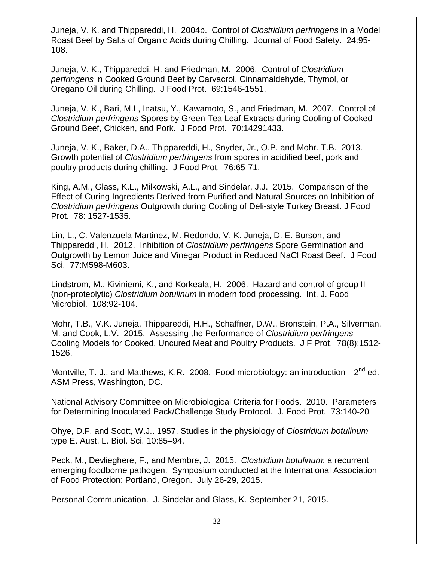Juneja, V. K. and Thippareddi, H. 2004b. Control of *Clostridium perfringens* in a Model Roast Beef by Salts of Organic Acids during Chilling. Journal of Food Safety. 24:95- 108.

Juneja, V. K., Thippareddi, H. and Friedman, M. 2006. Control of *Clostridium perfringens* in Cooked Ground Beef by Carvacrol, Cinnamaldehyde, Thymol, or Oregano Oil during Chilling. J Food Prot. 69:1546-1551.

Juneja, V. K., Bari, M.L, Inatsu, Y., Kawamoto, S., and Friedman, M. 2007. Control of *Clostridium perfringens* Spores by Green Tea Leaf Extracts during Cooling of Cooked Ground Beef, Chicken, and Pork. J Food Prot. 70:14291433.

Juneja, V. K., Baker, D.A., Thippareddi, H., Snyder, Jr., O.P. and Mohr. T.B. 2013. Growth potential of *Clostridium perfringens* from spores in acidified beef, pork and poultry products during chilling. J Food Prot. 76:65-71.

King, A.M., Glass, K.L., Milkowski, A.L., and Sindelar, J.J. 2015. Comparison of the Effect of Curing Ingredients Derived from Purified and Natural Sources on Inhibition of *Clostridium perfringens* Outgrowth during Cooling of Deli-style Turkey Breast. J Food Prot. 78: 1527-1535.

Lin, L., C. Valenzuela-Martinez, M. Redondo, V. K. Juneja, D. E. Burson, and Thippareddi, H. 2012. Inhibition of *Clostridium perfringens* Spore Germination and Outgrowth by Lemon Juice and Vinegar Product in Reduced NaCl Roast Beef. J Food Sci. 77:M598-M603.

Lindstrom, M., Kiviniemi, K., and Korkeala, H. 2006. Hazard and control of group II (non-proteolytic) *Clostridium botulinum* in modern food processing. Int. J. Food Microbiol. 108:92-104.

Mohr, T.B., V.K. Juneja, Thippareddi, H.H., Schaffner, D.W., Bronstein, P.A., Silverman, M. and Cook, L.V. 2015. Assessing the Performance of *Clostridium perfringens* Cooling Models for Cooked, Uncured Meat and Poultry Products. J F Prot. 78(8):1512- 1526.

Montville, T. J., and Matthews, K.R. 2008. Food microbiology: an introduction—2<sup>nd</sup> ed. ASM Press, Washington, DC.

National Advisory Committee on Microbiological Criteria for Foods. 2010. Parameters for Determining Inoculated Pack/Challenge Study Protocol. J. Food Prot. 73:140-20

Ohye, D.F. and Scott, W.J.. 1957. Studies in the physiology of *Clostridium botulinum* type E. Aust. L. Biol. Sci. 10:85–94.

Peck, M., Devlieghere, F., and Membre, J. 2015. *Clostridium botulinum*: a recurrent emerging foodborne pathogen. Symposium conducted at the International Association of Food Protection: Portland, Oregon. July 26-29, 2015.

Personal Communication. J. Sindelar and Glass, K. September 21, 2015.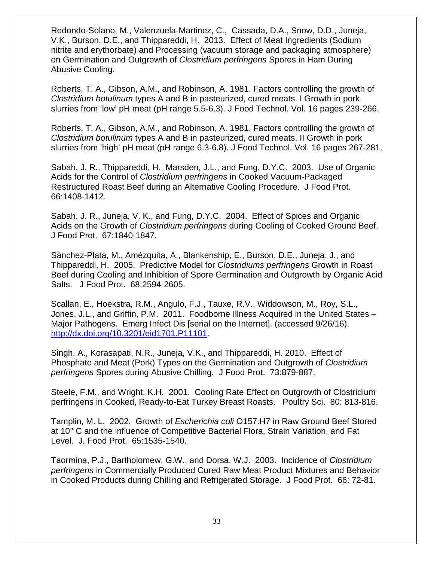Redondo-Solano, M., Valenzuela-Martinez, C., Cassada, D.A., Snow, D.D., Juneja, V.K., Burson, D.E., and Thippareddi, H. 2013. Effect of Meat Ingredients (Sodium nitrite and erythorbate) and Processing (vacuum storage and packaging atmosphere) on Germination and Outgrowth of *Clostridium perfringens* Spores in Ham During Abusive Cooling.

Roberts, T. A., Gibson, A.M., and Robinson, A. 1981. Factors controlling the growth of *Clostridium botulinum* types A and B in pasteurized, cured meats. I Growth in pork slurries from 'low' pH meat (pH range 5.5-6.3). J Food Technol. Vol. 16 pages 239-266.

Roberts, T. A., Gibson, A.M., and Robinson, A. 1981. Factors controlling the growth of *Clostridium botulinum* types A and B in pasteurized, cured meats. II Growth in pork slurries from 'high' pH meat (pH range 6.3-6.8). J Food Technol. Vol. 16 pages 267-281.

Sabah, J. R., Thippareddi, H., Marsden, J.L., and Fung, D.Y.C. 2003. Use of Organic Acids for the Control of *Clostridium perfringens* in Cooked Vacuum-Packaged Restructured Roast Beef during an Alternative Cooling Procedure. J Food Prot. 66:1408-1412.

Sabah, J. R., Juneja, V. K., and Fung, D.Y.C. 2004. Effect of Spices and Organic Acids on the Growth of *Clostridium perfringens* during Cooling of Cooked Ground Beef. J Food Prot. 67:1840-1847.

Sánchez-Plata, M., Amézquita, A., Blankenship, E., Burson, D.E., Juneja, J., and Thippareddi, H. 2005. Predictive Model for *Clostridiums perfringens* Growth in Roast Beef during Cooling and Inhibition of Spore Germination and Outgrowth by Organic Acid Salts. J Food Prot. 68:2594-2605.

Scallan, E., Hoekstra, R.M., Angulo, F.J., Tauxe, R.V., Widdowson, M., Roy, S.L., Jones, J.L., and Griffin, P.M. 2011. Foodborne Illness Acquired in the United States – Major Pathogens. Emerg Infect Dis [serial on the Internet]. (accessed 9/26/16). [http://dx.doi.org/10.3201/eid1701.P11101.](http://dx.doi.org/10.3201/eid1701.P11101)

Singh, A., Korasapati, N.R., Juneja, V.K., and Thippareddi, H. 2010. Effect of Phosphate and Meat (Pork) Types on the Germination and Outgrowth of *Clostridium perfringens* Spores during Abusive Chilling. J Food Prot. 73:879-887.

Steele, F.M., and Wright. K.H. 2001. Cooling Rate Effect on Outgrowth of Clostridium perfringens in Cooked, Ready-to-Eat Turkey Breast Roasts. Poultry Sci. 80: 813-816.

Tamplin, M. L. 2002. Growth of *Escherichia coli* O157:H7 in Raw Ground Beef Stored at 10° C and the influence of Competitive Bacterial Flora, Strain Variation, and Fat Level. J. Food Prot. 65:1535-1540.

Taormina, P.J., Bartholomew, G.W., and Dorsa, W.J. 2003. Incidence of *Clostridium perfringens* in Commercially Produced Cured Raw Meat Product Mixtures and Behavior in Cooked Products during Chilling and Refrigerated Storage. J Food Prot. 66: 72-81.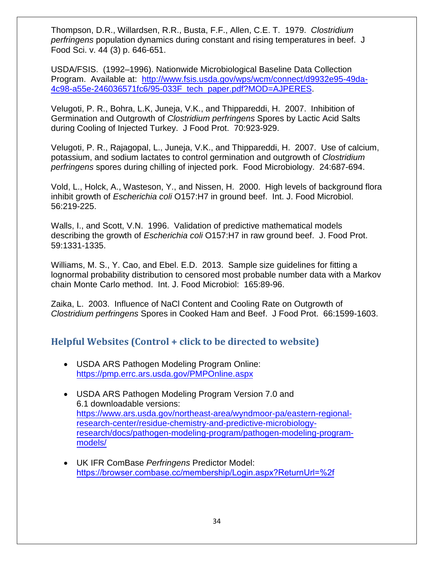Thompson, D.R., Willardsen, R.R., Busta, F.F., Allen, C.E. T. 1979. *Clostridium perfringens* population dynamics during constant and rising temperatures in beef. J Food Sci. v. 44 (3) p. 646-651.

USDA/FSIS. (1992–1996). Nationwide Microbiological Baseline Data Collection Program. Available at: [http://www.fsis.usda.gov/wps/wcm/connect/d9932e95-49da-](https://www.fsis.usda.gov/wps/wcm/connect/d9932e95-49da-4c98-a55e-246036571fc6/95-033F_tech_paper.pdf?MOD=AJPERES)[4c98-a55e-246036571fc6/95-033F\\_tech\\_paper.pdf?MOD=AJPERES.](https://www.fsis.usda.gov/wps/wcm/connect/d9932e95-49da-4c98-a55e-246036571fc6/95-033F_tech_paper.pdf?MOD=AJPERES)

Velugoti, P. R., Bohra, L.K, Juneja, V.K., and Thippareddi, H. 2007. Inhibition of Germination and Outgrowth of *Clostridium perfringens* Spores by Lactic Acid Salts during Cooling of Injected Turkey. J Food Prot. 70:923-929.

Velugoti, P. R., Rajagopal, L., Juneja, V.K., and Thippareddi, H. 2007. Use of calcium, potassium, and sodium lactates to control germination and outgrowth of *Clostridium perfringens* spores during chilling of injected pork. Food Microbiology. 24:687-694.

Vold, L., Holck, A., Wasteson, Y., and Nissen, H. 2000. High levels of background flora inhibit growth of *Escherichia coli* O157:H7 in ground beef. Int. J. Food Microbiol. 56:219-225.

Walls, I., and Scott, V.N. 1996. Validation of predictive mathematical models describing the growth of *Escherichia coli* O157:H7 in raw ground beef. J. Food Prot. 59:1331-1335.

Williams, M. S., Y. Cao, and Ebel. E.D. 2013. Sample size guidelines for fitting a lognormal probability distribution to censored most probable number data with a Markov chain Monte Carlo method. Int. J. Food Microbiol: 165:89-96.

Zaika, L. 2003. Influence of NaCl Content and Cooling Rate on Outgrowth of *Clostridium perfringens* Spores in Cooked Ham and Beef. J Food Prot. 66:1599-1603.

### <span id="page-37-0"></span>**Helpful Websites (Control + click to be directed to website)**

- USDA ARS Pathogen Modeling Program Online: <https://pmp.errc.ars.usda.gov/PMPOnline.aspx>
- USDA ARS Pathogen Modeling Program Version 7.0 and 6.1 downloadable versions: [https://www.ars.usda.gov/northeast-area/wyndmoor-pa/eastern-regional](https://www.ars.usda.gov/northeast-area/wyndmoor-pa/eastern-regional-research-center/residue-chemistry-and-predictive-microbiology-research/docs/pathogen-modeling-program/pathogen-modeling-program-models/)[research-center/residue-chemistry-and-predictive-microbiology](https://www.ars.usda.gov/northeast-area/wyndmoor-pa/eastern-regional-research-center/residue-chemistry-and-predictive-microbiology-research/docs/pathogen-modeling-program/pathogen-modeling-program-models/)[research/docs/pathogen-modeling-program/pathogen-modeling-program](https://www.ars.usda.gov/northeast-area/wyndmoor-pa/eastern-regional-research-center/residue-chemistry-and-predictive-microbiology-research/docs/pathogen-modeling-program/pathogen-modeling-program-models/)models/
- UK IFR ComBase *Perfringens* Predictor Model: <https://browser.combase.cc/membership/Login.aspx?ReturnUrl=%2f>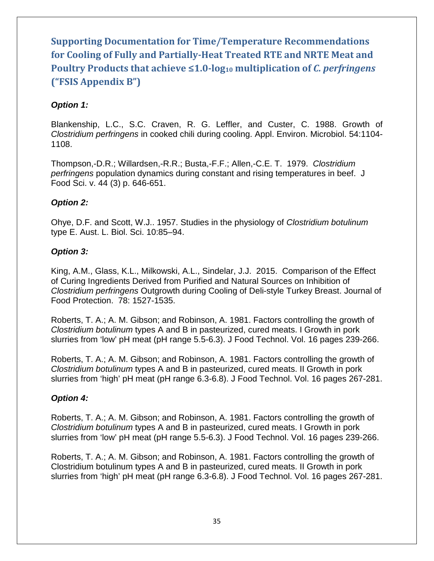# <span id="page-38-0"></span>**Supporting Documentation for Time/Temperature Recommendations for Cooling of Fully and Partially-Heat Treated RTE and NRTE Meat and Poultry Products that achieve ≤1.0-log<sup>10</sup> multiplication of** *C. perfringens* **("FSIS Appendix B")**

### *Option 1:*

Blankenship, L.C., S.C. Craven, R. G. Leffler, and Custer, C. 1988. Growth of *Clostridium perfringens* in cooked chili during cooling. Appl. Environ. Microbiol. 54:1104- 1108.

Thompson,-D.R.; Willardsen,-R.R.; Busta,-F.F.; Allen,-C.E. T. 1979. *Clostridium perfringens* population dynamics during constant and rising temperatures in beef. J Food Sci. v. 44 (3) p. 646-651.

### *Option 2:*

Ohye, D.F. and Scott, W.J.. 1957. Studies in the physiology of *Clostridium botulinum* type E. Aust. L. Biol. Sci. 10:85–94.

#### *Option 3:*

King, A.M., Glass, K.L., Milkowski, A.L., Sindelar, J.J. 2015. Comparison of the Effect of Curing Ingredients Derived from Purified and Natural Sources on Inhibition of *Clostridium perfringens* Outgrowth during Cooling of Deli-style Turkey Breast. Journal of Food Protection. 78: 1527-1535.

Roberts, T. A.; A. M. Gibson; and Robinson, A. 1981. Factors controlling the growth of *Clostridium botulinum* types A and B in pasteurized, cured meats. I Growth in pork slurries from 'low' pH meat (pH range 5.5-6.3). J Food Technol. Vol. 16 pages 239-266.

Roberts, T. A.; A. M. Gibson; and Robinson, A. 1981. Factors controlling the growth of *Clostridium botulinum* types A and B in pasteurized, cured meats. II Growth in pork slurries from 'high' pH meat (pH range 6.3-6.8). J Food Technol. Vol. 16 pages 267-281.

### *Option 4:*

Roberts, T. A.; A. M. Gibson; and Robinson, A. 1981. Factors controlling the growth of *Clostridium botulinum* types A and B in pasteurized, cured meats. I Growth in pork slurries from 'low' pH meat (pH range 5.5-6.3). J Food Technol. Vol. 16 pages 239-266.

Roberts, T. A.; A. M. Gibson; and Robinson, A. 1981. Factors controlling the growth of Clostridium botulinum types A and B in pasteurized, cured meats. II Growth in pork slurries from 'high' pH meat (pH range 6.3-6.8). J Food Technol. Vol. 16 pages 267-281.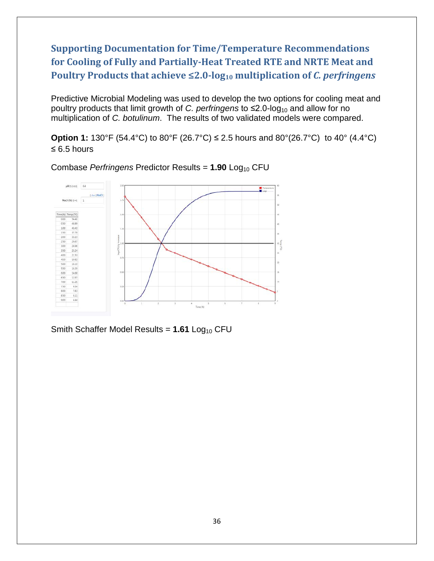<span id="page-39-0"></span>**Supporting Documentation for Time/Temperature Recommendations for Cooling of Fully and Partially-Heat Treated RTE and NRTE Meat and Poultry Products that achieve ≤2.0-log<sup>10</sup> multiplication of** *C. perfringens*

Predictive Microbial Modeling was used to develop the two options for cooling meat and poultry products that limit growth of *C. perfringens* to ≤2.0-log<sub>10</sub> and allow for no multiplication of *C. botulinum*. The results of two validated models were compared.

**Option 1:** 130°F (54.4°C) to 80°F (26.7°C) ≤ 2.5 hours and 80°(26.7°C) to 40° (4.4°C) ≤ 6.5 hours



Combase *Perfringens* Predictor Results = 1.90 Log<sub>10</sub> CFU

Smith Schaffer Model Results = 1.61 Log<sub>10</sub> CFU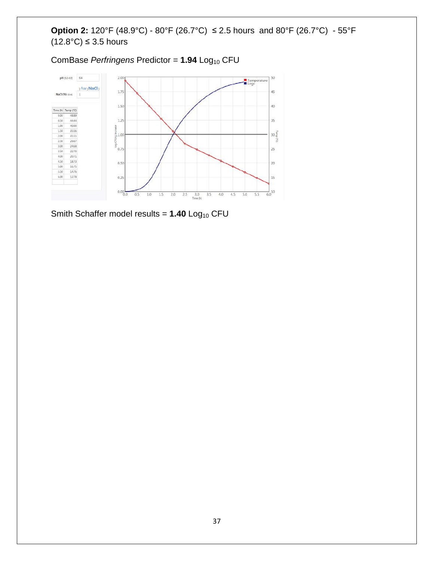### **Option 2:** 120°F (48.9°C) - 80°F (26.7°C) ≤ 2.5 hours and 80°F (26.7°C) - 55°F  $(12.8^{\circ}\text{C}) \leq 3.5$  hours

ComBase *Perfringens* Predictor = 1.94 Log<sub>10</sub> CFU



Smith Schaffer model results = 1.40 Log<sub>10</sub> CFU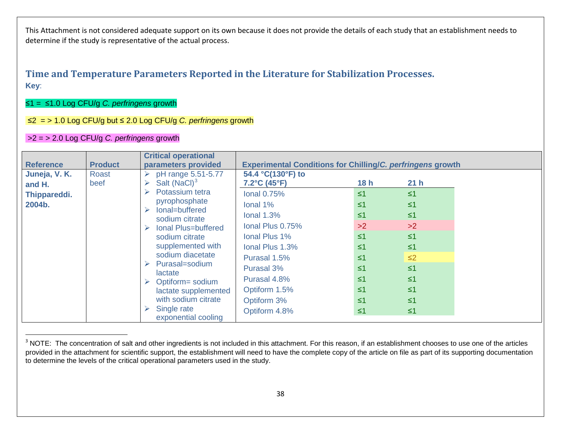### <span id="page-41-1"></span>**Time and Temperature Parameters Reported in the Literature for Stabilization Processes. Key**:

#### ≤1 = ≤1.0 Log CFU/g *C. perfringens* growth

#### ≤2 = > 1.0 Log CFU/g but ≤ 2.0 Log CFU/g *C. perfringens* growth

#### >2 = > 2.0 Log CFU/g *C. perfringens* growth

<span id="page-41-0"></span>

| <b>Reference</b>        | <b>Product</b>       | <b>Critical operational</b><br>parameters provided                               | <b>Experimental Conditions for Chilling/C. perfringens growth</b> |                      |                      |
|-------------------------|----------------------|----------------------------------------------------------------------------------|-------------------------------------------------------------------|----------------------|----------------------|
| Juneja, V. K.<br>and H. | <b>Roast</b><br>beef | pH range 5.51-5.77<br>Salt $(NaCl)3$<br>➤                                        | 54.4 °C(130°F) to<br>$7.2^{\circ}$ C (45 $^{\circ}$ F)            | 18h                  | 21 <sub>h</sub>      |
| Thippareddi.<br>2004b.  |                      | Potassium tetra<br>➤<br>pyrophosphate<br>lonal=buffered<br>$\blacktriangleright$ | <b>lonal 0.75%</b><br>Ional 1%                                    | $\leq 1$<br>$\leq 1$ | $\leq 1$<br>$\leq 1$ |
|                         |                      | sodium citrate                                                                   | Ional $1.3%$                                                      | $\leq 1$<br>>2       | $\leq 1$<br>>2       |
|                         |                      | Ional Plus=buffered<br>sodium citrate<br>supplemented with<br>sodium diacetate   | Ional Plus 0.75%<br>Ional Plus 1%                                 | $\leq 1$             | $\leq 1$             |
|                         |                      |                                                                                  | Ional Plus 1.3%<br>Purasal 1.5%                                   | $\leq 1$<br>$\leq 1$ | $\leq 1$<br>$\leq$ 2 |
|                         |                      | Purasal=sodium<br>➤<br>lactate                                                   | Purasal 3%                                                        | $\leq 1$             | $\leq 1$             |
|                         |                      | Optiform= sodium<br>lactate supplemented<br>with sodium citrate                  | Purasal 4.8%<br>Optiform 1.5%                                     | $\leq 1$<br>$\leq 1$ | $\leq 1$<br>$\leq 1$ |
|                         |                      |                                                                                  | Optiform 3%                                                       | $\leq 1$             | $\leq 1$             |
|                         |                      | Single rate<br>exponential cooling                                               | Optiform 4.8%                                                     | $\leq 1$             | $\leq 1$             |

<sup>&</sup>lt;sup>3</sup> NOTE: The concentration of salt and other ingredients is not included in this attachment. For this reason, if an establishment chooses to use one of the articles provided in the attachment for scientific support, the establishment will need to have the complete copy of the article on file as part of its supporting documentation to determine the levels of the critical operational parameters used in the study.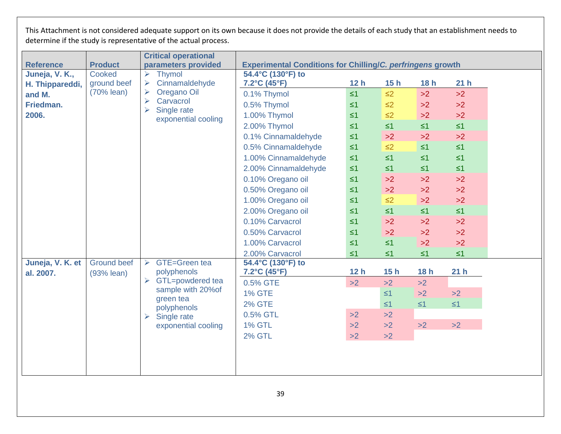|                  |                    | <b>Critical operational</b>                            |                                                                   |                 |          |          |                 |  |
|------------------|--------------------|--------------------------------------------------------|-------------------------------------------------------------------|-----------------|----------|----------|-----------------|--|
| <b>Reference</b> | <b>Product</b>     | parameters provided                                    | <b>Experimental Conditions for Chilling/C. perfringens growth</b> |                 |          |          |                 |  |
| Juneja, V. K.,   | Cooked             | <b>Thymol</b><br>➤                                     | 54.4°C (130°F) to                                                 |                 |          |          |                 |  |
| H. Thippareddi,  | ground beef        | Cinnamaldehyde                                         | 7.2°C (45°F)                                                      | 12 <sub>h</sub> | 15h      | 18h      | 21 <sub>h</sub> |  |
| and M.           | (70% lean)         | Oregano Oil<br>➤<br>$\blacktriangleright$<br>Carvacrol | 0.1% Thymol                                                       | $\leq 1$        | $\leq$ 2 | >2       | >2              |  |
| Friedman.        |                    | $\blacktriangleright$<br>Single rate                   | 0.5% Thymol                                                       | $\leq 1$        | $\leq$ 2 | >2       | >2              |  |
| 2006.            |                    | exponential cooling                                    | 1.00% Thymol                                                      | $\leq 1$        | $\leq$ 2 | >2       | >2              |  |
|                  |                    |                                                        | 2.00% Thymol                                                      | $\leq 1$        | $\leq 1$ | $\leq 1$ | $\leq 1$        |  |
|                  |                    |                                                        | 0.1% Cinnamaldehyde                                               | $\leq 1$        | >2       | >2       | >2              |  |
|                  |                    |                                                        | 0.5% Cinnamaldehyde                                               | $\leq 1$        | $\leq$ 2 | $\leq 1$ | $\leq 1$        |  |
|                  |                    |                                                        | 1.00% Cinnamaldehyde                                              | $\leq 1$        | $\leq 1$ | $\leq 1$ | $\leq 1$        |  |
|                  |                    |                                                        | 2.00% Cinnamaldehyde                                              | $\leq 1$        | $\leq 1$ | $\leq 1$ | $\leq 1$        |  |
|                  |                    |                                                        | 0.10% Oregano oil                                                 | $\leq 1$        | >2       | $>2$     | >2              |  |
|                  |                    |                                                        | 0.50% Oregano oil                                                 | $\leq 1$        | >2       | >2       | >2              |  |
|                  |                    |                                                        | 1.00% Oregano oil                                                 | $\leq 1$        | $\leq$ 2 | >2       | >2              |  |
|                  |                    |                                                        | 2.00% Oregano oil                                                 | $\leq 1$        | $\leq 1$ | $\leq 1$ | $\leq 1$        |  |
|                  |                    |                                                        | 0.10% Carvacrol                                                   | $\leq 1$        | >2       | >2       | >2              |  |
|                  |                    |                                                        | 0.50% Carvacrol                                                   | $\leq 1$        | >2       | >2       | >2              |  |
|                  |                    |                                                        | 1.00% Carvacrol                                                   | $\leq 1$        | $\leq 1$ | >2       | >2              |  |
|                  |                    |                                                        | 2.00% Carvacrol                                                   | $\leq 1$        | $\leq 1$ | $\leq 1$ | $\leq 1$        |  |
| Juneja, V. K. et | <b>Ground beef</b> | $\triangleright$ GTE=Green tea                         | 54.4°C (130°F) to                                                 |                 |          |          |                 |  |
| al. 2007.        | $(93%$ lean)       | polyphenols                                            | $7.2^{\circ}$ C (45 $^{\circ}$ F)                                 | 12 <sub>h</sub> | 15h      | 18h      | 21 <sub>h</sub> |  |
|                  |                    | GTL=powdered tea                                       | 0.5% GTE                                                          | >2              | >2       | >2       |                 |  |
|                  |                    | sample with 20% of<br>green tea                        | <b>1% GTE</b>                                                     |                 | $\leq 1$ | >2       | $>2$            |  |
|                  |                    | polyphenols                                            | <b>2% GTE</b>                                                     |                 | $\leq 1$ | $\leq 1$ | $\leq 1$        |  |
|                  |                    | Single rate<br>$\blacktriangleright$                   | 0.5% GTL                                                          | >2              | >2       |          |                 |  |
|                  |                    | exponential cooling                                    | <b>1% GTL</b>                                                     | >2              | >2       | >2       | >2              |  |
|                  |                    |                                                        | <b>2% GTL</b>                                                     | >2              | >2       |          |                 |  |
|                  |                    |                                                        |                                                                   |                 |          |          |                 |  |
|                  |                    |                                                        |                                                                   |                 |          |          |                 |  |
|                  |                    |                                                        |                                                                   |                 |          |          |                 |  |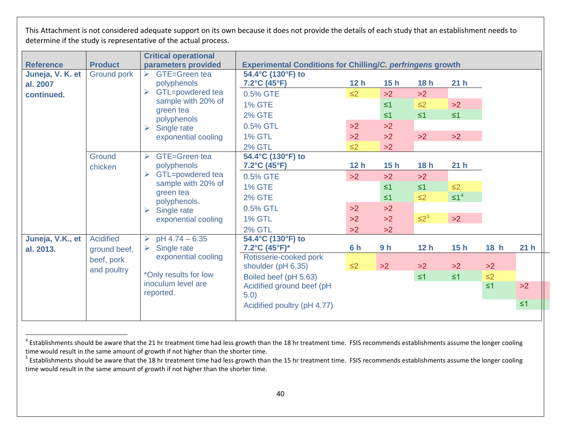<span id="page-43-1"></span><span id="page-43-0"></span>

|                  |                    | <b>Critical operational</b>                              |                                                                                                                 |                 |                |                 |                 |                            |                 |  |
|------------------|--------------------|----------------------------------------------------------|-----------------------------------------------------------------------------------------------------------------|-----------------|----------------|-----------------|-----------------|----------------------------|-----------------|--|
| <b>Reference</b> | <b>Product</b>     | parameters provided                                      | <b>Experimental Conditions for Chilling/C. perfringens growth</b>                                               |                 |                |                 |                 |                            |                 |  |
| Juneja, V. K. et | <b>Ground pork</b> | <b>GTE=Green tea</b><br>$\blacktriangleright$            | 54.4°C (130°F) to                                                                                               |                 |                |                 |                 |                            |                 |  |
| al. 2007         |                    | polyphenols                                              | $7.2^{\circ}$ C (45 $^{\circ}$ F)                                                                               | 12 <sub>h</sub> | 15h            | 18h             | 21 <sub>h</sub> |                            |                 |  |
| continued.       |                    | GTL=powdered tea<br>$\blacktriangleright$                | 0.5% GTE                                                                                                        | $\leq$ 2        | >2             | >2              |                 |                            |                 |  |
|                  |                    | sample with 20% of                                       | <b>1% GTE</b>                                                                                                   |                 | $\leq 1$       | $\leq$ 2        | >2              |                            |                 |  |
|                  |                    | green tea<br>polyphenols                                 | <b>2% GTE</b>                                                                                                   |                 | $\leq 1$       | $\leq 1$        | $\leq 1$        |                            |                 |  |
|                  |                    | Single rate<br>$\blacktriangleright$                     | 0.5% GTL                                                                                                        | >2              | >2             |                 |                 |                            |                 |  |
|                  |                    | exponential cooling                                      | <b>1% GTL</b>                                                                                                   | >2              | >2             | >2              | >2              |                            |                 |  |
|                  |                    |                                                          | <b>2% GTL</b>                                                                                                   | $\leq$ 2        | >2             |                 |                 |                            |                 |  |
|                  | Ground             | GTE=Green tea<br>$\blacktriangleright$                   | 54.4°C (130°F) to                                                                                               |                 |                |                 |                 |                            |                 |  |
|                  | chicken            | polyphenols                                              | $7.2^{\circ}$ C (45 $^{\circ}$ F)                                                                               | 12 <sub>h</sub> | 15h            | 18h             | 21 <sub>h</sub> |                            |                 |  |
|                  |                    | GTL=powdered tea<br>$\blacktriangleright$                | 0.5% GTE                                                                                                        | >2              | >2             | >2              |                 |                            |                 |  |
|                  |                    | sample with 20% of<br>green tea                          | <b>1% GTE</b>                                                                                                   |                 | $\leq 1$       | $\leq 1$        | $\leq$ 2        |                            |                 |  |
|                  |                    | polyphenols.                                             | <b>2% GTE</b>                                                                                                   |                 | $\leq 1$       | $\leq$ 2        | $\leq 1^4$      |                            |                 |  |
|                  |                    | Single rate<br>$\triangleright$                          | 0.5% GTL                                                                                                        | >2              | >2             |                 |                 |                            |                 |  |
|                  |                    | exponential cooling                                      | <b>1% GTL</b>                                                                                                   | >2              | >2             | $\leq 2^5$      | >2              |                            |                 |  |
|                  |                    |                                                          | <b>2% GTL</b>                                                                                                   | >2              | >2             |                 |                 |                            |                 |  |
| Juneja, V.K., et | <b>Acidified</b>   | pH 4.74 - 6.35<br>➤                                      | 54.4°C (130°F) to                                                                                               |                 |                |                 |                 |                            |                 |  |
| al. 2013.        | ground beef,       | Single rate<br>$\blacktriangleright$                     | 7.2°C (45°F)*                                                                                                   | 6 h             | 9 <sub>h</sub> | 12 <sub>h</sub> | 15h             | 18 h                       | 21 <sub>h</sub> |  |
|                  | beef, pork         | exponential cooling                                      | Rotisserie-cooked pork                                                                                          |                 |                |                 |                 |                            |                 |  |
|                  |                    |                                                          |                                                                                                                 |                 |                |                 |                 |                            |                 |  |
|                  |                    |                                                          |                                                                                                                 |                 |                |                 |                 |                            |                 |  |
|                  |                    |                                                          |                                                                                                                 |                 |                |                 |                 |                            |                 |  |
|                  |                    |                                                          |                                                                                                                 |                 |                |                 |                 |                            |                 |  |
|                  |                    |                                                          |                                                                                                                 |                 |                |                 |                 |                            |                 |  |
|                  | and poultry        | *Only results for low<br>inoculum level are<br>reported. | shoulder (pH 6.35)<br>Boiled beef (pH 5.63)<br>Acidified ground beef (pH<br>5.0)<br>Acidified poultry (pH 4.77) | $\leq$ 2        | >2             | >2<br>$\leq 1$  | >2<br>$\leq 1$  | >2<br>$\leq$ 2<br>$\leq 1$ | >2<br>$\leq 1$  |  |

 $4$  Establishments should be aware that the 21 hr treatment time had less growth than the 18 hr treatment time. FSIS recommends establishments assume the longer cooling time would result in the same amount of growth if not higher than the shorter time.

 $5$  Establishments should be aware that the 18 hr treatment time had less growth than the 15 hr treatment time. FSIS recommends establishments assume the longer cooling time would result in the same amount of growth if not higher than the shorter time.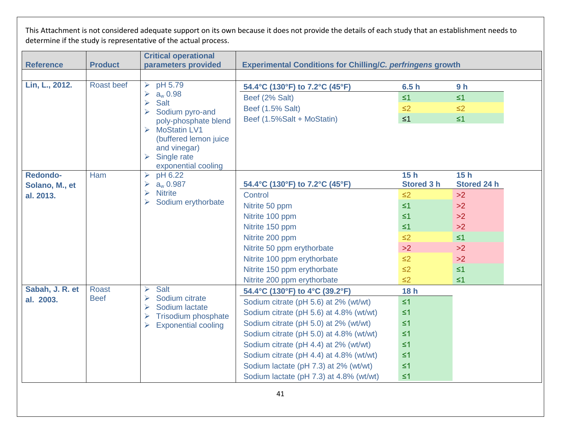| <b>Reference</b> | <b>Product</b>              | <b>Critical operational</b><br>parameters provided                                     | <b>Experimental Conditions for Chilling/C. perfringens growth</b> |                   |                |  |
|------------------|-----------------------------|----------------------------------------------------------------------------------------|-------------------------------------------------------------------|-------------------|----------------|--|
|                  |                             |                                                                                        |                                                                   |                   |                |  |
| Lin, L., 2012.   | Roast beef                  | pH 5.79<br>➤                                                                           | 54.4°C (130°F) to 7.2°C (45°F)                                    | 6.5h              | 9 <sub>h</sub> |  |
|                  |                             | $a_{w}$ 0.98<br>$\blacktriangleright$                                                  | Beef (2% Salt)                                                    | $\leq 1$          | $\leq 1$       |  |
|                  |                             | <b>Salt</b><br>$\blacktriangleright$<br>Sodium pyro-and                                | Beef (1.5% Salt)                                                  | $\leq$ 2          | $\leq$ 2       |  |
|                  |                             | poly-phosphate blend                                                                   | Beef (1.5%Salt + MoStatin)                                        | $\leq 1$          | $\leq 1$       |  |
|                  |                             | $\triangleright$ MoStatin LV1                                                          |                                                                   |                   |                |  |
|                  |                             | (buffered lemon juice                                                                  |                                                                   |                   |                |  |
|                  |                             | and vinegar)<br>$\triangleright$ Single rate                                           |                                                                   |                   |                |  |
|                  |                             | exponential cooling                                                                    |                                                                   |                   |                |  |
| <b>Redondo-</b>  | Ham                         | pH 6.22<br>$\blacktriangleright$                                                       |                                                                   | 15h               | 15h            |  |
| Solano, M., et   |                             | $a_{w}$ 0.987<br>➤                                                                     | 54.4°C (130°F) to 7.2°C (45°F)                                    | <b>Stored 3 h</b> | Stored 24 h    |  |
| al. 2013.        |                             | <b>Nitrite</b><br>$\blacktriangleright$<br>Sodium erythorbate<br>$\blacktriangleright$ | Control                                                           | $\leq$ 2          | >2             |  |
|                  |                             |                                                                                        | Nitrite 50 ppm                                                    | $\leq 1$          | >2             |  |
|                  |                             |                                                                                        | Nitrite 100 ppm                                                   | $\leq 1$          | >2             |  |
|                  |                             |                                                                                        | Nitrite 150 ppm                                                   | $\leq 1$          | >2             |  |
|                  |                             |                                                                                        | Nitrite 200 ppm                                                   | $\leq$ 2          | $\leq 1$       |  |
|                  |                             |                                                                                        | Nitrite 50 ppm erythorbate                                        | >2                | >2             |  |
|                  |                             |                                                                                        | Nitrite 100 ppm erythorbate                                       | $\leq$ 2          | >2             |  |
|                  |                             |                                                                                        | Nitrite 150 ppm erythorbate                                       | $\leq$ 2          | $\leq 1$       |  |
|                  |                             |                                                                                        | Nitrite 200 ppm erythorbate                                       | $\leq$ 2          | $\leq 1$       |  |
| Sabah, J. R. et  | <b>Roast</b><br><b>Beef</b> | <b>Salt</b><br>➤<br>Sodium citrate<br>➤                                                | 54.4°C (130°F) to 4°C (39.2°F)                                    | 18h               |                |  |
| al. 2003.        |                             | Sodium lactate<br>$\blacktriangleright$                                                | Sodium citrate (pH 5.6) at 2% (wt/wt)                             | $\leq 1$          |                |  |
|                  |                             | <b>Trisodium phosphate</b><br>➤                                                        | Sodium citrate (pH 5.6) at 4.8% (wt/wt)                           | $\leq 1$          |                |  |
|                  |                             | <b>Exponential cooling</b><br>➤                                                        | Sodium citrate (pH 5.0) at 2% (wt/wt)                             | $\leq 1$          |                |  |
|                  |                             |                                                                                        | Sodium citrate (pH 5.0) at 4.8% (wt/wt)                           | $\leq 1$          |                |  |
|                  |                             |                                                                                        | Sodium citrate (pH 4.4) at 2% (wt/wt)                             | $\leq 1$          |                |  |
|                  |                             |                                                                                        | Sodium citrate (pH 4.4) at 4.8% (wt/wt)                           | $\leq 1$          |                |  |
|                  |                             |                                                                                        | Sodium lactate (pH 7.3) at 2% (wt/wt)                             | $\leq 1$          |                |  |
|                  |                             |                                                                                        | Sodium lactate (pH 7.3) at 4.8% (wt/wt)                           | $\leq 1$          |                |  |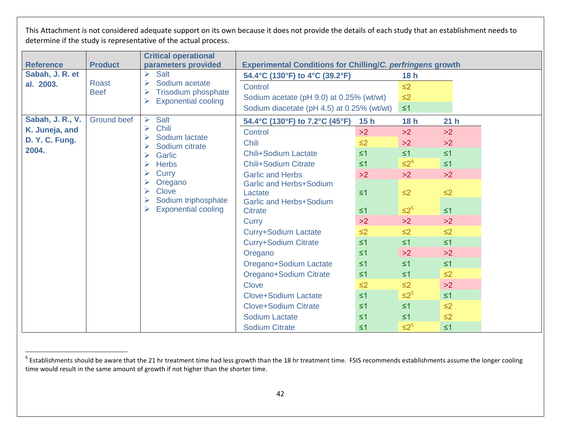<span id="page-45-0"></span>

|                  |                    | <b>Critical operational</b>                             |                                                                   |          |            |                 |  |
|------------------|--------------------|---------------------------------------------------------|-------------------------------------------------------------------|----------|------------|-----------------|--|
| <b>Reference</b> | <b>Product</b>     | parameters provided                                     | <b>Experimental Conditions for Chilling/C. perfringens growth</b> |          |            |                 |  |
| Sabah, J. R. et  |                    | Salt<br>➤                                               | 54.4°C (130°F) to 4°C (39.2°F)                                    |          | 18h        |                 |  |
| al. 2003.        | <b>Roast</b>       | Sodium acetate<br>$\blacktriangleright$                 | Control                                                           |          | $\leq$ 2   |                 |  |
|                  | <b>Beef</b>        | Trisodium phosphate<br><b>Exponential cooling</b><br>➤  | Sodium acetate (pH 9.0) at 0.25% (wt/wt)                          |          | $\leq$ 2   |                 |  |
|                  |                    |                                                         | Sodium diacetate (pH 4.5) at 0.25% (wt/wt)                        |          | $\leq 1$   |                 |  |
| Sabah, J. R., V. | <b>Ground beef</b> | Salt<br>➤                                               | 54.4°C (130°F) to 7.2°C (45°F)                                    | 15h      | 18h        | 21 <sub>h</sub> |  |
| K. Juneja, and   |                    | <b>Chili</b><br>$\blacktriangleright$<br>Sodium lactate | Control                                                           | >2       | >2         | >2              |  |
| D. Y. C. Fung.   |                    | Sodium citrate                                          | <b>Chili</b>                                                      | $\leq$ 2 | >2         | >2              |  |
| 2004.            |                    | Garlic<br>➤                                             | <b>Chili+Sodium Lactate</b>                                       | $\leq 1$ | $\leq 1$   | $\leq 1$        |  |
|                  |                    | <b>Herbs</b>                                            | <b>Chili+Sodium Citrate</b>                                       | $\leq 1$ | $\leq 2^6$ | $\leq 1$        |  |
|                  |                    | Curry                                                   | <b>Garlic and Herbs</b>                                           | >2       | >2         | >2              |  |
|                  |                    | Oregano                                                 | <b>Garlic and Herbs+Sodium</b>                                    |          |            |                 |  |
|                  |                    | Clove<br>Sodium triphosphate<br>➤<br>➤                  | Lactate                                                           | $\leq 1$ | $\leq$ 2   | $\leq$ 2        |  |
|                  |                    |                                                         | <b>Garlic and Herbs+Sodium</b>                                    |          |            |                 |  |
|                  |                    | <b>Exponential cooling</b>                              | <b>Citrate</b>                                                    | $\leq 1$ | $\leq 2^5$ | $\leq 1$        |  |
|                  |                    |                                                         | <b>Curry</b>                                                      | >2       | >2         | >2              |  |
|                  |                    |                                                         | <b>Curry+Sodium Lactate</b>                                       | $\leq$ 2 | $\leq$ 2   | $\leq$ 2        |  |
|                  |                    |                                                         | <b>Curry+Sodium Citrate</b>                                       | $\leq 1$ | $\leq 1$   | $\leq 1$        |  |
|                  |                    |                                                         | Oregano                                                           | $\leq 1$ | >2         | >2              |  |
|                  |                    |                                                         | Oregano+Sodium Lactate                                            | $\leq 1$ | $\leq 1$   | $\leq 1$        |  |
|                  |                    |                                                         | Oregano+Sodium Citrate                                            | $\leq 1$ | $\leq 1$   | $\leq$ 2        |  |
|                  |                    |                                                         | Clove                                                             | $\leq$ 2 | $\leq$ 2   | >2              |  |
|                  |                    |                                                         | <b>Clove+Sodium Lactate</b>                                       | $\leq 1$ | $\leq 2^5$ | $\leq 1$        |  |
|                  |                    |                                                         | <b>Clove+Sodium Citrate</b>                                       | $\leq 1$ | $\leq 1$   | $\leq$ 2        |  |
|                  |                    |                                                         | <b>Sodium Lactate</b>                                             | $\leq 1$ | $\leq 1$   | $\leq$ 2        |  |
|                  |                    |                                                         | <b>Sodium Citrate</b>                                             | $\leq 1$ | $\leq 2^5$ | $\leq 1$        |  |

 $6$  Establishments should be aware that the 21 hr treatment time had less growth than the 18 hr treatment time. FSIS recommends establishments assume the longer cooling time would result in the same amount of growth if not higher than the shorter time.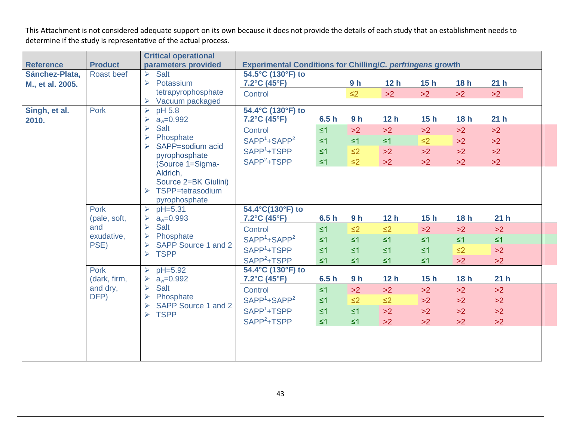|                  |                                    | <b>Critical operational</b>                                       |                                                                   |          |                |                 |          |          |                 |
|------------------|------------------------------------|-------------------------------------------------------------------|-------------------------------------------------------------------|----------|----------------|-----------------|----------|----------|-----------------|
| <b>Reference</b> | <b>Product</b>                     | parameters provided                                               | <b>Experimental Conditions for Chilling/C. perfringens growth</b> |          |                |                 |          |          |                 |
| Sánchez-Plata,   | <b>Roast beef</b>                  | Salt<br>➤                                                         | 54.5°C (130°F) to                                                 |          |                |                 |          |          |                 |
| M., et al. 2005. |                                    | $\blacktriangleright$<br>Potassium                                | 7.2°C (45°F)                                                      |          | 9 <sub>h</sub> | 12 <sub>h</sub> | 15h      | 18h      | 21 <sub>h</sub> |
|                  |                                    | tetrapyrophosphate                                                | Control                                                           |          | $\leq$ 2       | >2              | >2       | >2       | >2              |
| Singh, et al.    | Pork                               | Vacuum packaged<br>pH 5.8<br>$\blacktriangleright$                | 54.4°C (130°F) to                                                 |          |                |                 |          |          |                 |
| 2010.            |                                    | $a_w = 0.992$<br>➤                                                | $7.2^{\circ}$ C (45 $^{\circ}$ F)                                 | 6.5h     | 9 <sub>h</sub> | 12 <sub>h</sub> | 15h      | 18h      | 21h             |
|                  |                                    | Salt<br>$\blacktriangleright$                                     | Control                                                           | $\leq 1$ | >2             | >2              | >2       | >2       | >2              |
|                  | Phosphate<br>$\blacktriangleright$ | $SAPP1+SAPP2$                                                     | $\leq 1$                                                          | $\leq 1$ | $\leq 1$       | $\leq$ 2        | >2       | >2       |                 |
|                  |                                    | SAPP=sodium acid<br>pyrophosphate<br>(Source 1=Sigma-<br>Aldrich, | SAPP <sup>1</sup> +TSPP                                           | $\leq 1$ | $\leq$ 2       | >2              | >2       | >2       | >2              |
|                  |                                    |                                                                   | $SAPP2+TSPP$                                                      | $\leq 1$ | $\leq$ 2       | >2              | >2       | >2       | >2              |
|                  |                                    |                                                                   |                                                                   |          |                |                 |          |          |                 |
|                  |                                    | Source 2=BK Giulini)                                              |                                                                   |          |                |                 |          |          |                 |
| Pork             | TSPP=tetrasodium                   |                                                                   |                                                                   |          |                |                 |          |          |                 |
|                  | pyrophosphate                      |                                                                   |                                                                   |          |                |                 |          |          |                 |
|                  | $pH=5.31$<br>$\blacktriangleright$ | 54.4°C(130°F) to                                                  |                                                                   |          |                |                 |          |          |                 |
|                  | (pale, soft,                       | $a_w = 0.993$                                                     | $7.2^{\circ}$ C (45 $^{\circ}$ F)                                 | 6.5h     | 9 <sub>h</sub> | 12h             | 15h      | 18h      | 21 <sub>h</sub> |
|                  | and                                | Salt<br>$\blacktriangleright$                                     | Control                                                           | $\leq 1$ | $\leq$ 2       | $\leq$ 2        | $>2$     | >2       | >2              |
|                  | exudative,                         | Phosphate<br>⋗                                                    | $SAPP1+SAPP2$                                                     | $\leq 1$ | $\leq 1$       | $\leq 1$        | $\leq 1$ | $\leq 1$ | $\leq 1$        |
|                  | PSE)                               | SAPP Source 1 and 2<br>➤<br><b>TSPP</b><br>$\blacktriangleright$  | SAPP <sup>1</sup> +TSPP                                           | $\leq 1$ | $\leq 1$       | $\leq 1$        | $\leq 1$ | $\leq$ 2 | >2              |
|                  |                                    |                                                                   | $SAPP2+TSPP$                                                      | $\leq 1$ | $\leq 1$       | $\leq 1$        | $\leq 1$ | >2       | >2              |
|                  | Pork                               | pH=5.92<br>➤                                                      | 54.4°C (130°F) to                                                 |          |                |                 |          |          |                 |
|                  | (dark, firm,                       | $a_w = 0.992$                                                     | 7.2°C (45°F)                                                      | 6.5h     | 9 <sub>h</sub> | 12h             | 15h      | 18h      | 21 <sub>h</sub> |
|                  | and dry,                           | Salt<br>➤                                                         | Control                                                           | $\leq 1$ | >2             | >2              | >2       | >2       | >2              |
|                  | DFP)                               | Phosphate<br>➤<br>SAPP Source 1 and 2<br>⋗                        | $SAPP1+SAPP2$                                                     | $\leq 1$ | $\leq$ 2       | $\leq$ 2        | $>2$     | >2       | >2              |
|                  |                                    | <b>TSPP</b><br>➤                                                  | SAPP <sup>1</sup> +TSPP                                           | $\leq 1$ | $\leq 1$       | >2              | >2       | >2       | >2              |
|                  |                                    |                                                                   | SAPP <sup>2</sup> +TSPP                                           | $\leq 1$ | $\leq 1$       | >2              | >2       | >2       | >2              |
|                  |                                    |                                                                   |                                                                   |          |                |                 |          |          |                 |
|                  |                                    |                                                                   |                                                                   |          |                |                 |          |          |                 |
|                  |                                    |                                                                   |                                                                   |          |                |                 |          |          |                 |
|                  |                                    |                                                                   |                                                                   |          |                |                 |          |          |                 |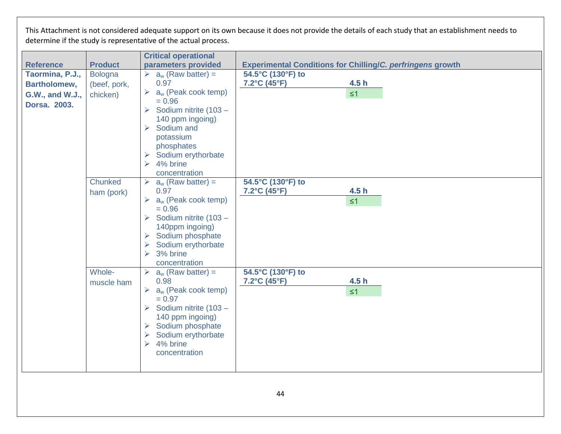|                  |                      | <b>Critical operational</b>                                                                                                                                                                                                                |                                                        |                                                                   |
|------------------|----------------------|--------------------------------------------------------------------------------------------------------------------------------------------------------------------------------------------------------------------------------------------|--------------------------------------------------------|-------------------------------------------------------------------|
| <b>Reference</b> | <b>Product</b>       | parameters provided                                                                                                                                                                                                                        |                                                        | <b>Experimental Conditions for Chilling/C. perfringens growth</b> |
| Taormina, P.J.,  | <b>Bologna</b>       | $\triangleright$ a <sub>w</sub> (Raw batter) =                                                                                                                                                                                             | 54.5°C (130°F) to                                      |                                                                   |
| Bartholomew,     | (beef, pork,         | 0.97                                                                                                                                                                                                                                       | 7.2°C (45°F)                                           | 4.5h                                                              |
| G.W., and W.J.,  | chicken)             | $a_w$ (Peak cook temp)<br>$\blacktriangleright$                                                                                                                                                                                            |                                                        | $\leq 1$                                                          |
| Dorsa. 2003.     |                      | $= 0.96$                                                                                                                                                                                                                                   |                                                        |                                                                   |
|                  |                      | Sodium nitrite (103 -<br>$\blacktriangleright$                                                                                                                                                                                             |                                                        |                                                                   |
|                  |                      | 140 ppm ingoing)<br>Sodium and                                                                                                                                                                                                             |                                                        |                                                                   |
|                  |                      | $\blacktriangleright$<br>potassium                                                                                                                                                                                                         |                                                        |                                                                   |
|                  |                      | phosphates                                                                                                                                                                                                                                 |                                                        |                                                                   |
|                  |                      | Sodium erythorbate<br>➤                                                                                                                                                                                                                    |                                                        |                                                                   |
|                  |                      | 4% brine<br>$\blacktriangleright$                                                                                                                                                                                                          |                                                        |                                                                   |
|                  |                      | concentration                                                                                                                                                                                                                              |                                                        |                                                                   |
|                  | Chunked              | $a_w$ (Raw batter) =<br>➤                                                                                                                                                                                                                  | 54.5°C (130°F) to                                      |                                                                   |
|                  | ham (pork)           | 0.97                                                                                                                                                                                                                                       | 7.2°C (45°F)                                           | 4.5 <sub>h</sub>                                                  |
|                  |                      | $a_w$ (Peak cook temp)<br>$\blacktriangleright$                                                                                                                                                                                            |                                                        | $\leq 1$                                                          |
|                  |                      | $= 0.96$                                                                                                                                                                                                                                   |                                                        |                                                                   |
|                  |                      | Sodium nitrite (103 -<br>$\blacktriangleright$                                                                                                                                                                                             |                                                        |                                                                   |
|                  |                      | 140ppm ingoing)                                                                                                                                                                                                                            |                                                        |                                                                   |
|                  |                      | Sodium phosphate<br>$\blacktriangleright$                                                                                                                                                                                                  |                                                        |                                                                   |
|                  |                      | Sodium erythorbate<br>$\blacktriangleright$<br>3% brine<br>➤                                                                                                                                                                               |                                                        |                                                                   |
|                  |                      |                                                                                                                                                                                                                                            |                                                        |                                                                   |
|                  |                      |                                                                                                                                                                                                                                            |                                                        |                                                                   |
|                  |                      |                                                                                                                                                                                                                                            |                                                        |                                                                   |
|                  |                      |                                                                                                                                                                                                                                            |                                                        |                                                                   |
|                  |                      | $= 0.97$                                                                                                                                                                                                                                   |                                                        |                                                                   |
|                  |                      | Sodium nitrite (103 -<br>$\blacktriangleright$                                                                                                                                                                                             |                                                        |                                                                   |
|                  |                      | 140 ppm ingoing)                                                                                                                                                                                                                           |                                                        |                                                                   |
|                  |                      |                                                                                                                                                                                                                                            |                                                        |                                                                   |
|                  |                      | $\blacktriangleright$                                                                                                                                                                                                                      |                                                        |                                                                   |
|                  |                      |                                                                                                                                                                                                                                            |                                                        |                                                                   |
|                  |                      |                                                                                                                                                                                                                                            |                                                        |                                                                   |
|                  |                      |                                                                                                                                                                                                                                            |                                                        |                                                                   |
|                  | Whole-<br>muscle ham | concentration<br>$\blacktriangleright$<br>$a_w$ (Raw batter) =<br>0.98<br>$a_w$ (Peak cook temp)<br>$\blacktriangleright$<br>$\triangleright$ Sodium phosphate<br>Sodium erythorbate<br>4% brine<br>$\blacktriangleright$<br>concentration | 54.5°C (130°F) to<br>$7.2^{\circ}$ C (45 $^{\circ}$ F) | 4.5 <sub>h</sub><br>$\leq 1$                                      |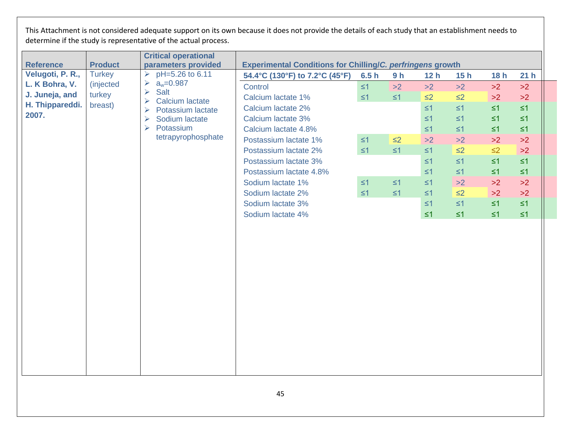|                | <b>Critical operational</b>              |                                                                                                                                                                       |          |                |          |          |                                                                   |                 |  |
|----------------|------------------------------------------|-----------------------------------------------------------------------------------------------------------------------------------------------------------------------|----------|----------------|----------|----------|-------------------------------------------------------------------|-----------------|--|
| <b>Product</b> | parameters provided                      |                                                                                                                                                                       |          |                |          |          |                                                                   |                 |  |
| <b>Turkey</b>  | pH=5.26 to 6.11<br>$\blacktriangleright$ | 54.4°C (130°F) to 7.2°C (45°F)                                                                                                                                        | 6.5h     | 9 <sub>h</sub> | 12h      | 15h      | 18h                                                               | 21 <sub>h</sub> |  |
| (injected      | ➤                                        | Control                                                                                                                                                               | $\leq$ 1 | >2             | >2       | >2       | >2                                                                | >2              |  |
| turkey         |                                          | Calcium lactate 1%                                                                                                                                                    | $\leq 1$ | $\leq 1$       | $\leq$ 2 | $\leq$ 2 | $>2$                                                              | >2              |  |
| breast)        |                                          | Calcium lactate 2%                                                                                                                                                    |          |                | $\leq 1$ | $\leq 1$ | $\leq 1$                                                          | $\leq 1$        |  |
|                | $\blacktriangleright$<br>Sodium lactate  | Calcium lactate 3%                                                                                                                                                    |          |                | $\leq 1$ | $\leq$ 1 | $\leq 1$                                                          | $\leq 1$        |  |
|                | $\blacktriangleright$<br>Potassium       | Calcium lactate 4.8%                                                                                                                                                  |          |                | $\leq 1$ | $\leq 1$ | $\leq 1$                                                          | $\leq 1$        |  |
|                |                                          | Postassium lactate 1%                                                                                                                                                 | $\leq 1$ | $\leq$ 2       | >2       | $>2$     | >2                                                                | $>2$            |  |
|                |                                          | Postassium lactate 2%                                                                                                                                                 | $\leq 1$ | $\leq 1$       | $\leq 1$ | $\leq$ 2 | $\leq$ 2                                                          | >2              |  |
|                |                                          | Postassium lactate 3%                                                                                                                                                 |          |                | $\leq 1$ | $\leq 1$ | $\leq 1$                                                          | $\leq 1$        |  |
|                |                                          | Postassium lactate 4.8%                                                                                                                                               |          |                | $\leq 1$ | $\leq 1$ | $\leq 1$                                                          | $\leq 1$        |  |
|                |                                          | Sodium lactate 1%                                                                                                                                                     | $\leq 1$ | $\leq 1$       | $\leq 1$ | >2       | >2                                                                | >2              |  |
|                |                                          | Sodium lactate 2%                                                                                                                                                     | $\leq$ 1 | $\leq 1$       | $\leq$ 1 | $\leq$ 2 | >2                                                                | >2              |  |
|                |                                          | Sodium lactate 3%                                                                                                                                                     |          |                | $\leq 1$ | $\leq 1$ | $\leq 1$                                                          | $\leq 1$        |  |
|                |                                          | Sodium lactate 4%                                                                                                                                                     |          |                | $\leq 1$ | $\leq 1$ | $\leq 1$                                                          | $\leq 1$        |  |
|                |                                          |                                                                                                                                                                       |          |                |          |          |                                                                   |                 |  |
|                | H. Thippareddi.                          | $a_w = 0.987$<br>Salt<br>$\blacktriangleright$<br><b>Calcium lactate</b><br>$\blacktriangleright$<br>Potassium lactate<br>$\blacktriangleright$<br>tetrapyrophosphate |          |                |          |          | <b>Experimental Conditions for Chilling/C. perfringens growth</b> |                 |  |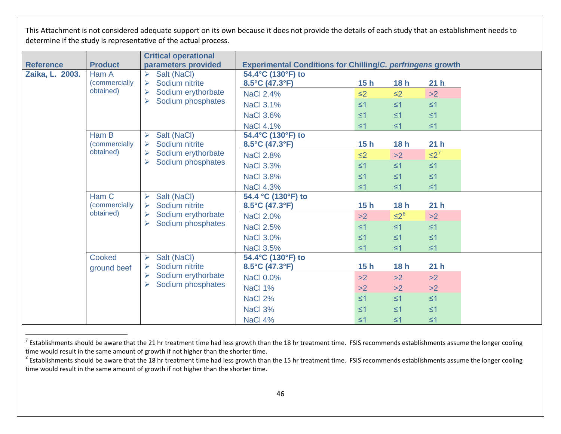<span id="page-49-1"></span><span id="page-49-0"></span>

|                  |                                    | <b>Critical operational</b>                |                                                                   |          |            |                 |  |
|------------------|------------------------------------|--------------------------------------------|-------------------------------------------------------------------|----------|------------|-----------------|--|
| <b>Reference</b> | <b>Product</b>                     | parameters provided                        | <b>Experimental Conditions for Chilling/C. perfringens growth</b> |          |            |                 |  |
| Zaika, L. 2003.  | Ham A                              | Salt (NaCl)                                | 54.4°C (130°F) to                                                 |          |            |                 |  |
|                  | (commercially                      | Sodium nitrite<br>⋗                        | 8.5°C (47.3°F)                                                    | 15h      | 18h        | 21 <sub>h</sub> |  |
|                  | obtained)                          | Sodium erythorbate<br>⋗                    | <b>NaCl 2.4%</b>                                                  | $\leq$ 2 | $\leq$ 2   | >2              |  |
|                  |                                    | $\blacktriangleright$<br>Sodium phosphates | <b>NaCl 3.1%</b>                                                  | $\leq 1$ | $\leq 1$   | $\leq 1$        |  |
|                  |                                    |                                            | <b>NaCl 3.6%</b>                                                  | $\leq 1$ | $\leq 1$   | $\leq 1$        |  |
|                  |                                    |                                            | <b>NaCl 4.1%</b>                                                  | $\leq 1$ | $\leq 1$   | $\leq 1$        |  |
|                  | Ham B                              | Salt (NaCl)                                | 54.4°C (130°F) to                                                 |          |            |                 |  |
|                  | <i>(commercially</i><br>obtained)  | Sodium nitrite                             | $8.5^{\circ}$ C (47.3 $^{\circ}$ F)                               | 15h      | 18h        | 21 <sub>h</sub> |  |
|                  |                                    | Sodium erythorbate                         | <b>NaCl 2.8%</b>                                                  | $\leq$ 2 | >2         | $\leq 2^7$      |  |
|                  |                                    | $\blacktriangleright$<br>Sodium phosphates | <b>NaCl 3.3%</b>                                                  | $\leq 1$ | $\leq 1$   | $\leq 1$        |  |
|                  |                                    |                                            | <b>NaCl 3.8%</b>                                                  | $\leq 1$ | $\leq 1$   | $\leq 1$        |  |
|                  |                                    |                                            | <b>NaCl 4.3%</b>                                                  | $\leq 1$ | $\leq 1$   | $\leq 1$        |  |
|                  | Ham C                              | Salt (NaCl)<br>➤                           | 54.4 °C (130°F) to                                                |          |            |                 |  |
|                  | <i>(commercially)</i><br>obtained) | Sodium nitrite                             | $8.5^{\circ}$ C (47.3 $^{\circ}$ F)                               | 15h      | 18h        | 21 <sub>h</sub> |  |
|                  |                                    | Sodium erythorbate<br>➤                    | <b>NaCl 2.0%</b>                                                  | >2       | $\leq 2^8$ | >2              |  |
|                  |                                    | Sodium phosphates<br>$\blacktriangleright$ | <b>NaCl 2.5%</b>                                                  | $\leq 1$ | $\leq 1$   | $\leq 1$        |  |
|                  |                                    |                                            | <b>NaCl 3.0%</b>                                                  | $\leq 1$ | $\leq 1$   | $\leq 1$        |  |
|                  |                                    |                                            | <b>NaCl 3.5%</b>                                                  | $\leq 1$ | $\leq 1$   | $\leq 1$        |  |
|                  | Cooked                             | Salt (NaCl)<br>⋗                           | 54.4°C (130°F) to                                                 |          |            |                 |  |
|                  | ground beef                        | Sodium nitrite                             | 8.5°C (47.3°F)                                                    | 15h      | 18h        | 21 <sub>h</sub> |  |
|                  |                                    | Sodium erythorbate<br>➤                    | <b>NaCl 0.0%</b>                                                  | >2       | >2         | >2              |  |
|                  |                                    | Sodium phosphates<br>➤                     | NaCl 1%                                                           | >2       | >2         | >2              |  |
|                  |                                    |                                            | NaCl 2%                                                           | $\leq 1$ | $\leq 1$   | $\leq 1$        |  |
|                  |                                    |                                            | NaCl 3%                                                           | $\leq 1$ | $\leq 1$   | $\leq 1$        |  |
|                  |                                    |                                            | NaCl 4%                                                           | $\leq 1$ | $\leq 1$   | $\leq 1$        |  |

 $^7$  Establishments should be aware that the 21 hr treatment time had less growth than the 18 hr treatment time. FSIS recommends establishments assume the longer cooling time would result in the same amount of growth if not higher than the shorter time.

 $8$  Establishments should be aware that the 18 hr treatment time had less growth than the 15 hr treatment time. FSIS recommends establishments assume the longer cooling time would result in the same amount of growth if not higher than the shorter time.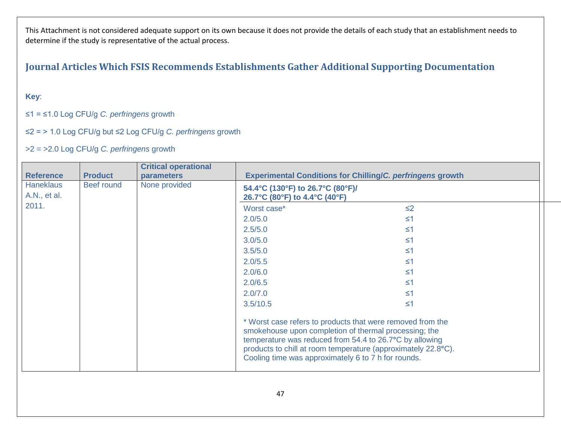### **Journal Articles Which FSIS Recommends Establishments Gather Additional Supporting Documentation**

#### **Key**:

#### ≤1 = ≤1.0 Log CFU/g *C. perfringens* growth

#### ≤2 = > 1.0 Log CFU/g but ≤2 Log CFU/g *C. perfringens* growth

#### >2 = >2.0 Log CFU/g *C. perfringens* growth

<span id="page-50-0"></span>

|                                  |                | <b>Critical operational</b> |                                                                                                                                                                                                                                                                                                        |          |  |  |  |
|----------------------------------|----------------|-----------------------------|--------------------------------------------------------------------------------------------------------------------------------------------------------------------------------------------------------------------------------------------------------------------------------------------------------|----------|--|--|--|
| <b>Reference</b>                 | <b>Product</b> | <b>parameters</b>           | <b>Experimental Conditions for Chilling/C. perfringens growth</b>                                                                                                                                                                                                                                      |          |  |  |  |
| <b>Haneklaus</b><br>A.N., et al. | Beef round     | None provided               | 54.4°C (130°F) to 26.7°C (80°F)/<br>26.7°C (80°F) to 4.4°C (40°F)                                                                                                                                                                                                                                      |          |  |  |  |
| 2011.                            |                |                             | Worst case*                                                                                                                                                                                                                                                                                            | $\leq$ 2 |  |  |  |
|                                  |                |                             | 2.0/5.0                                                                                                                                                                                                                                                                                                | $\leq$ 1 |  |  |  |
|                                  |                |                             | 2.5/5.0                                                                                                                                                                                                                                                                                                | $\leq 1$ |  |  |  |
|                                  |                |                             | 3.0/5.0                                                                                                                                                                                                                                                                                                | $\leq$ 1 |  |  |  |
|                                  |                |                             | 3.5/5.0                                                                                                                                                                                                                                                                                                | $\leq$ 1 |  |  |  |
|                                  |                |                             | 2.0/5.5                                                                                                                                                                                                                                                                                                | ≤1       |  |  |  |
|                                  |                |                             | 2.0/6.0                                                                                                                                                                                                                                                                                                | $\leq 1$ |  |  |  |
|                                  |                |                             | 2.0/6.5                                                                                                                                                                                                                                                                                                | $\leq$ 1 |  |  |  |
|                                  |                |                             | 2.0/7.0                                                                                                                                                                                                                                                                                                | $\leq$ 1 |  |  |  |
|                                  |                |                             | 3.5/10.5                                                                                                                                                                                                                                                                                               | $\leq$ 1 |  |  |  |
|                                  |                |                             | * Worst case refers to products that were removed from the<br>smokehouse upon completion of thermal processing; the<br>temperature was reduced from 54.4 to 26.7°C by allowing<br>products to chill at room temperature (approximately 22.8°C).<br>Cooling time was approximately 6 to 7 h for rounds. |          |  |  |  |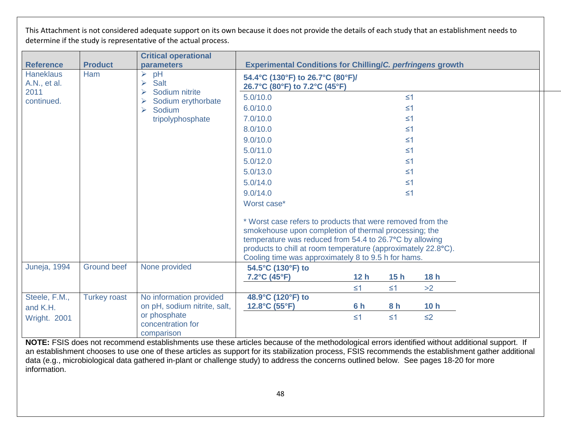| <b>Reference</b>                                       | <b>Product</b>      | <b>Critical operational</b><br>parameters                                                       | <b>Experimental Conditions for Chilling/C. perfringens growth</b>                                                                                                                                                                                                                                      |                 |                |          |  |  |
|--------------------------------------------------------|---------------------|-------------------------------------------------------------------------------------------------|--------------------------------------------------------------------------------------------------------------------------------------------------------------------------------------------------------------------------------------------------------------------------------------------------------|-----------------|----------------|----------|--|--|
| <b>Haneklaus</b><br>A.N., et al.<br>2011<br>continued. | Ham                 | pH<br>➤<br>Salt<br>➤<br>Sodium nitrite<br>Sodium erythorbate<br>Sodium<br>➤<br>tripolyphosphate | 54.4°C (130°F) to 26.7°C (80°F)/<br>26.7°C (80°F) to 7.2°C (45°F)                                                                                                                                                                                                                                      |                 |                |          |  |  |
|                                                        |                     |                                                                                                 | 5.0/10.0                                                                                                                                                                                                                                                                                               |                 | $\leq 1$       |          |  |  |
|                                                        |                     |                                                                                                 | 6.0/10.0                                                                                                                                                                                                                                                                                               |                 | $\leq 1$       |          |  |  |
|                                                        |                     |                                                                                                 | 7.0/10.0                                                                                                                                                                                                                                                                                               |                 | $\leq 1$       |          |  |  |
|                                                        |                     |                                                                                                 | 8.0/10.0                                                                                                                                                                                                                                                                                               |                 | $\leq 1$       |          |  |  |
|                                                        |                     |                                                                                                 | 9.0/10.0                                                                                                                                                                                                                                                                                               |                 | $\leq 1$       |          |  |  |
|                                                        |                     |                                                                                                 | 5.0/11.0                                                                                                                                                                                                                                                                                               |                 | $\leq 1$       |          |  |  |
|                                                        |                     |                                                                                                 | 5.0/12.0                                                                                                                                                                                                                                                                                               |                 | $\leq 1$       |          |  |  |
|                                                        |                     |                                                                                                 | 5.0/13.0                                                                                                                                                                                                                                                                                               |                 | $\leq 1$       |          |  |  |
|                                                        |                     |                                                                                                 | 5.0/14.0                                                                                                                                                                                                                                                                                               |                 | $\leq 1$       |          |  |  |
|                                                        |                     |                                                                                                 | 9.0/14.0                                                                                                                                                                                                                                                                                               |                 | $\leq 1$       |          |  |  |
|                                                        |                     |                                                                                                 | Worst case*                                                                                                                                                                                                                                                                                            |                 |                |          |  |  |
|                                                        |                     |                                                                                                 | * Worst case refers to products that were removed from the<br>smokehouse upon completion of thermal processing; the<br>temperature was reduced from 54.4 to 26.7°C by allowing<br>products to chill at room temperature (approximately 22.8°C).<br>Cooling time was approximately 8 to 9.5 h for hams. |                 |                |          |  |  |
| <b>Juneja, 1994</b>                                    | <b>Ground beef</b>  | None provided                                                                                   | 54.5°C (130°F) to                                                                                                                                                                                                                                                                                      |                 |                |          |  |  |
|                                                        |                     |                                                                                                 | 7.2°C (45°F)                                                                                                                                                                                                                                                                                           | 12 <sub>h</sub> | 15h            | 18h      |  |  |
|                                                        |                     |                                                                                                 |                                                                                                                                                                                                                                                                                                        | $\leq 1$        | $\leq 1$       | >2       |  |  |
| Steele, F.M.,                                          | <b>Turkey roast</b> | No information provided                                                                         | 48.9°C (120°F) to                                                                                                                                                                                                                                                                                      |                 |                |          |  |  |
| and K.H.                                               |                     | on pH, sodium nitrite, salt,                                                                    | $12.8^{\circ}C(55^{\circ}F)$                                                                                                                                                                                                                                                                           | 6 h             | 8 <sub>h</sub> | 10h      |  |  |
| <b>Wright. 2001</b>                                    |                     | or phosphate<br>concentration for<br>comparison                                                 |                                                                                                                                                                                                                                                                                                        | $\leq 1$        | $\leq 1$       | $\leq$ 2 |  |  |

**NOTE:** FSIS does not recommend establishments use these articles because of the methodological errors identified without additional support. If an establishment chooses to use one of these articles as support for its stabilization process, FSIS recommends the establishment gather additional data (e.g., microbiological data gathered in-plant or challenge study) to address the concerns outlined below. See pages 18-20 for more information.